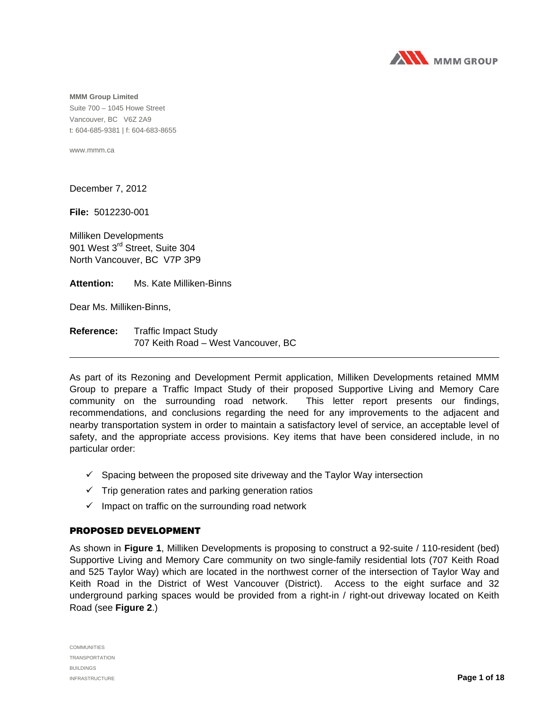

**MMM Group Limited**  Suite 700 – 1045 Howe Street Vancouver, BC V6Z 2A9 t: 604-685-9381 | f: 604-683-8655

www.mmm.ca

December 7, 2012

**File:** 5012230-001

Milliken Developments 901 West 3<sup>rd</sup> Street, Suite 304 North Vancouver, BC V7P 3P9

**Attention:** Ms. Kate Milliken-Binns

Dear Ms. Milliken-Binns,

**Reference:** Traffic Impact Study 707 Keith Road – West Vancouver, BC

As part of its Rezoning and Development Permit application, Milliken Developments retained MMM Group to prepare a Traffic Impact Study of their proposed Supportive Living and Memory Care community on the surrounding road network. This letter report presents our findings, recommendations, and conclusions regarding the need for any improvements to the adjacent and nearby transportation system in order to maintain a satisfactory level of service, an acceptable level of safety, and the appropriate access provisions. Key items that have been considered include, in no particular order:

- $\checkmark$  Spacing between the proposed site driveway and the Taylor Way intersection
- $\checkmark$  Trip generation rates and parking generation ratios
- $\checkmark$  Impact on traffic on the surrounding road network

#### PROPOSED DEVELOPMENT

As shown in **Figure 1**, Milliken Developments is proposing to construct a 92-suite / 110-resident (bed) Supportive Living and Memory Care community on two single-family residential lots (707 Keith Road and 525 Taylor Way) which are located in the northwest corner of the intersection of Taylor Way and Keith Road in the District of West Vancouver (District). Access to the eight surface and 32 underground parking spaces would be provided from a right-in / right-out driveway located on Keith Road (see **Figure 2**.)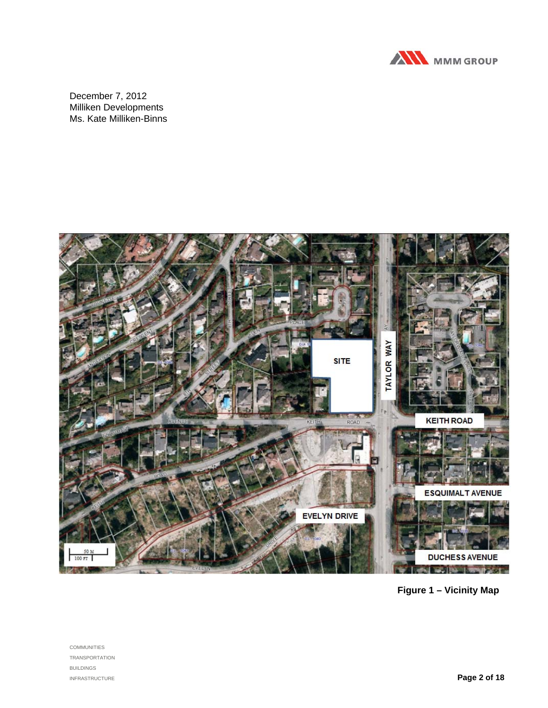



**Figure 1 – Vicinity Map** 

COMMUNITIES TRANSPORTATION BUILDINGS INFRASTRUCTURE **Page 2 of 18**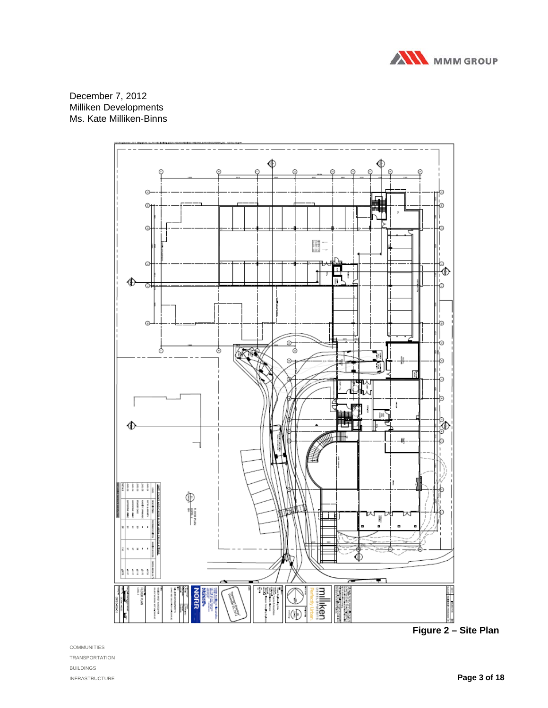



COMMUNITIES TRANSPORTATION BUILDINGS INFRASTRUCTURE **Page 3 of 18**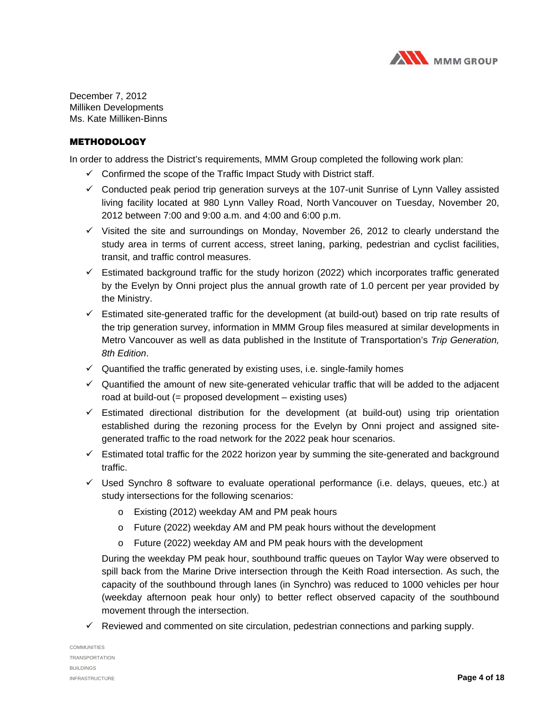

#### **METHODOLOGY**

In order to address the District's requirements, MMM Group completed the following work plan:

- $\checkmark$  Confirmed the scope of the Traffic Impact Study with District staff.
- $\checkmark$  Conducted peak period trip generation surveys at the 107-unit Sunrise of Lynn Valley assisted living facility located at 980 Lynn Valley Road, North Vancouver on Tuesday, November 20, 2012 between 7:00 and 9:00 a.m. and 4:00 and 6:00 p.m.
- $\checkmark$  Visited the site and surroundings on Monday, November 26, 2012 to clearly understand the study area in terms of current access, street laning, parking, pedestrian and cyclist facilities, transit, and traffic control measures.
- $\checkmark$  Estimated background traffic for the study horizon (2022) which incorporates traffic generated by the Evelyn by Onni project plus the annual growth rate of 1.0 percent per year provided by the Ministry.
- $\checkmark$  Estimated site-generated traffic for the development (at build-out) based on trip rate results of the trip generation survey, information in MMM Group files measured at similar developments in Metro Vancouver as well as data published in the Institute of Transportation's *Trip Generation, 8th Edition*.
- $\checkmark$  Quantified the traffic generated by existing uses, i.e. single-family homes
- $\checkmark$  Quantified the amount of new site-generated vehicular traffic that will be added to the adjacent road at build-out (= proposed development – existing uses)
- $\checkmark$  Estimated directional distribution for the development (at build-out) using trip orientation established during the rezoning process for the Evelyn by Onni project and assigned sitegenerated traffic to the road network for the 2022 peak hour scenarios.
- $\checkmark$  Estimated total traffic for the 2022 horizon year by summing the site-generated and background traffic.
- $\checkmark$  Used Synchro 8 software to evaluate operational performance (i.e. delays, queues, etc.) at study intersections for the following scenarios:
	- o Existing (2012) weekday AM and PM peak hours
	- o Future (2022) weekday AM and PM peak hours without the development
	- o Future (2022) weekday AM and PM peak hours with the development

During the weekday PM peak hour, southbound traffic queues on Taylor Way were observed to spill back from the Marine Drive intersection through the Keith Road intersection. As such, the capacity of the southbound through lanes (in Synchro) was reduced to 1000 vehicles per hour (weekday afternoon peak hour only) to better reflect observed capacity of the southbound movement through the intersection.

 $\checkmark$  Reviewed and commented on site circulation, pedestrian connections and parking supply.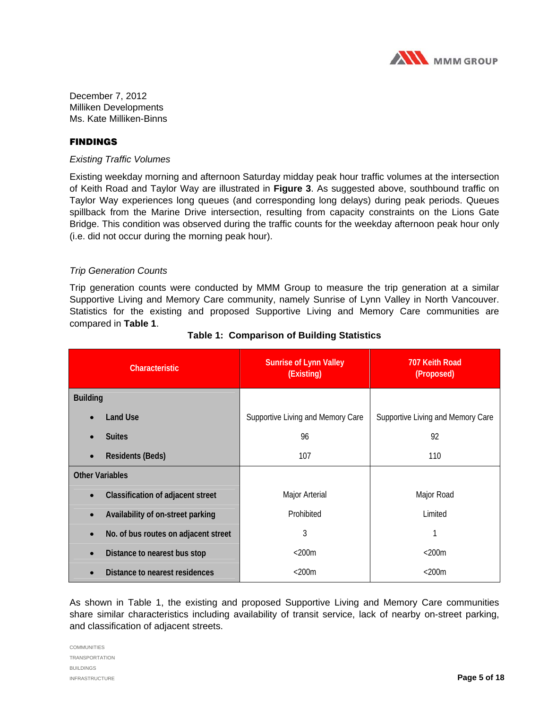

#### FINDINGS

#### *Existing Traffic Volumes*

Existing weekday morning and afternoon Saturday midday peak hour traffic volumes at the intersection of Keith Road and Taylor Way are illustrated in **Figure 3**. As suggested above, southbound traffic on Taylor Way experiences long queues (and corresponding long delays) during peak periods. Queues spillback from the Marine Drive intersection, resulting from capacity constraints on the Lions Gate Bridge. This condition was observed during the traffic counts for the weekday afternoon peak hour only (i.e. did not occur during the morning peak hour).

#### *Trip Generation Counts*

Trip generation counts were conducted by MMM Group to measure the trip generation at a similar Supportive Living and Memory Care community, namely Sunrise of Lynn Valley in North Vancouver. Statistics for the existing and proposed Supportive Living and Memory Care communities are compared in **Table 1**.

| <b>Characteristic</b>                          | <b>Sunrise of Lynn Valley</b><br>(Existing) | 707 Keith Road<br>(Proposed)      |
|------------------------------------------------|---------------------------------------------|-----------------------------------|
| <b>Building</b>                                |                                             |                                   |
| <b>Land Use</b>                                | Supportive Living and Memory Care           | Supportive Living and Memory Care |
| <b>Suites</b>                                  | 96                                          | 92                                |
| <b>Residents (Beds)</b>                        | 107                                         | 110                               |
| <b>Other Variables</b>                         |                                             |                                   |
| Classification of adjacent street<br>$\bullet$ | Major Arterial                              | Major Road                        |
| Availability of on-street parking              | Prohibited                                  | Limited                           |
| No. of bus routes on adjacent street           | 3                                           | 1                                 |
| Distance to nearest bus stop                   | $<$ 200 $m$                                 | $<$ 200 $m$                       |
| Distance to nearest residences                 | $<$ 200 $m$                                 | $<$ 200 $m$                       |

**Table 1: Comparison of Building Statistics** 

As shown in Table 1, the existing and proposed Supportive Living and Memory Care communities share similar characteristics including availability of transit service, lack of nearby on-street parking, and classification of adjacent streets.

COMMUNITIES TRANSPORTATION BUILDINGS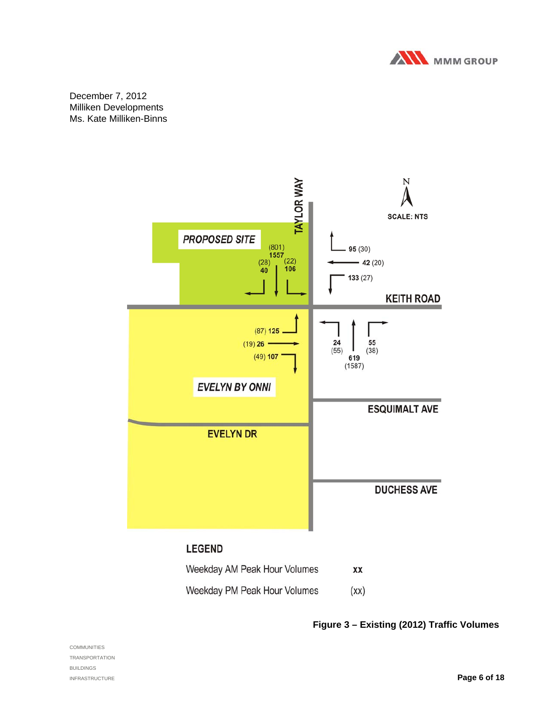



## **Figure 3 – Existing (2012) Traffic Volumes**

COMMUNITIES TRANSPORTATION BUILDINGS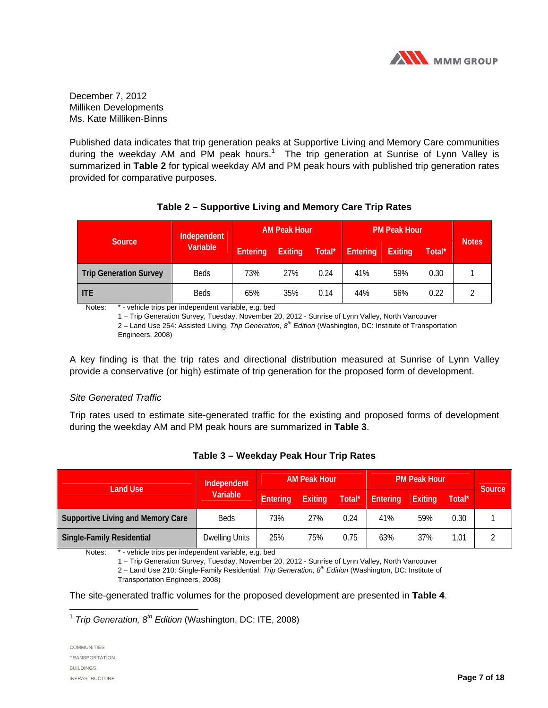

Published data indicates that trip generation peaks at Supportive Living and Memory Care communities during the weekday AM and PM peak hours.<sup>1</sup> The trip generation at Sunrise of Lynn Valley is summarized in **Table 2** for typical weekday AM and PM peak hours with published trip generation rates provided for comparative purposes.

|                               | Independent |          | <b>AM Peak Hour</b> |        |                 | <b>PM Peak Hour</b> |        |              |
|-------------------------------|-------------|----------|---------------------|--------|-----------------|---------------------|--------|--------------|
| <b>Source</b>                 | Variable    | Entering | <b>Exiting</b>      | Total* | <b>Entering</b> | <b>Exiting</b>      | Total* | <b>Notes</b> |
| <b>Trip Generation Survey</b> | <b>Beds</b> | 73%      | 27%                 | 0.24   | 41%             | 59%                 | 0.30   |              |
| <b>ITE</b>                    | <b>Beds</b> | 65%      | 35%                 | 0.14   | 44%             | 56%                 | 0.22   |              |

#### **Table 2 – Supportive Living and Memory Care Trip Rates**

Notes: \* - vehicle trips per independent variable, e.g. bed

 1 – Trip Generation Survey, Tuesday, November 20, 2012 - Sunrise of Lynn Valley, North Vancouver 2 – Land Use 254: Assisted Living, *Trip Generation, 8th Edition* (Washington, DC: Institute of Transportation Engineers, 2008)

A key finding is that the trip rates and directional distribution measured at Sunrise of Lynn Valley provide a conservative (or high) estimate of trip generation for the proposed form of development.

#### *Site Generated Traffic*

Trip rates used to estimate site-generated traffic for the existing and proposed forms of development during the weekday AM and PM peak hours are summarized in **Table 3**.

| Land Use                          | Independent           |                 | <b>AM Peak Hour</b> |        |                 | <b>PM Peak Hour</b> |        | <b>Source</b> |
|-----------------------------------|-----------------------|-----------------|---------------------|--------|-----------------|---------------------|--------|---------------|
|                                   | Variable              | <b>Entering</b> | <b>Exiting</b>      | Total* | <b>Entering</b> | Exitina             | Total* |               |
| Supportive Living and Memory Care | <b>Beds</b>           | 73%             | 27%                 | 0.24   | 41%             | 59%                 | 0.30   |               |
| <b>Single-Family Residential</b>  | <b>Dwelling Units</b> | 25%             | 75%                 | 0.75   | 63%             | 37%                 | 1.01   |               |

#### **Table 3 – Weekday Peak Hour Trip Rates**

Notes: \* - vehicle trips per independent variable, e.g. bed

1 – Trip Generation Survey, Tuesday, November 20, 2012 - Sunrise of Lynn Valley, North Vancouver

 2 – Land Use 210: Single-Family Residential, *Trip Generation, 8th Edition* (Washington, DC: Institute of Transportation Engineers, 2008)

The site-generated traffic volumes for the proposed development are presented in **Table 4**.

<sup>1</sup> *Trip Generation, 8<sup>th</sup> Edition* (Washington, DC: ITE, 2008)

 $\overline{a}$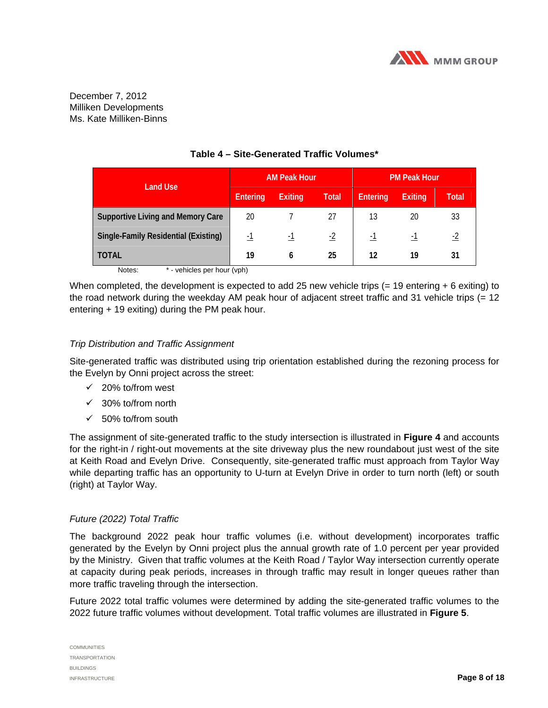

| <b>Land Use</b>                      |                 | <b>AM Peak Hour</b> |              |                 | <b>PM Peak Hour</b> |              |
|--------------------------------------|-----------------|---------------------|--------------|-----------------|---------------------|--------------|
|                                      | <b>Entering</b> | <b>Exiting</b>      | <b>Total</b> | <b>Entering</b> | <b>Exiting</b>      | <b>Total</b> |
| Supportive Living and Memory Care    | 20              |                     | 27           | 13              | 20                  | 33           |
| Single-Family Residential (Existing) | - 1             | - 1                 | $-2$         | - 1             | - 1                 | $-2$         |
| TOTAL                                | 19              | 6                   | 25           | 12              | 19                  | 31           |
| Notes:<br>- vehicles per hour (vph)  |                 |                     |              |                 |                     |              |

#### **Table 4 – Site-Generated Traffic Volumes\***

When completed, the development is expected to add 25 new vehicle trips  $(= 19 \text{ entering} + 6 \text{ exiting})$  to the road network during the weekday AM peak hour of adjacent street traffic and 31 vehicle trips (= 12 entering + 19 exiting) during the PM peak hour.

#### *Trip Distribution and Traffic Assignment*

Site-generated traffic was distributed using trip orientation established during the rezoning process for the Evelyn by Onni project across the street:

- $\checkmark$  20% to/from west
- $\times$  30% to/from north
- $\checkmark$  50% to/from south

The assignment of site-generated traffic to the study intersection is illustrated in **Figure 4** and accounts for the right-in / right-out movements at the site driveway plus the new roundabout just west of the site at Keith Road and Evelyn Drive. Consequently, site-generated traffic must approach from Taylor Way while departing traffic has an opportunity to U-turn at Evelyn Drive in order to turn north (left) or south (right) at Taylor Way.

#### *Future (2022) Total Traffic*

The background 2022 peak hour traffic volumes (i.e. without development) incorporates traffic generated by the Evelyn by Onni project plus the annual growth rate of 1.0 percent per year provided by the Ministry. Given that traffic volumes at the Keith Road / Taylor Way intersection currently operate at capacity during peak periods, increases in through traffic may result in longer queues rather than more traffic traveling through the intersection.

Future 2022 total traffic volumes were determined by adding the site-generated traffic volumes to the 2022 future traffic volumes without development. Total traffic volumes are illustrated in **Figure 5**.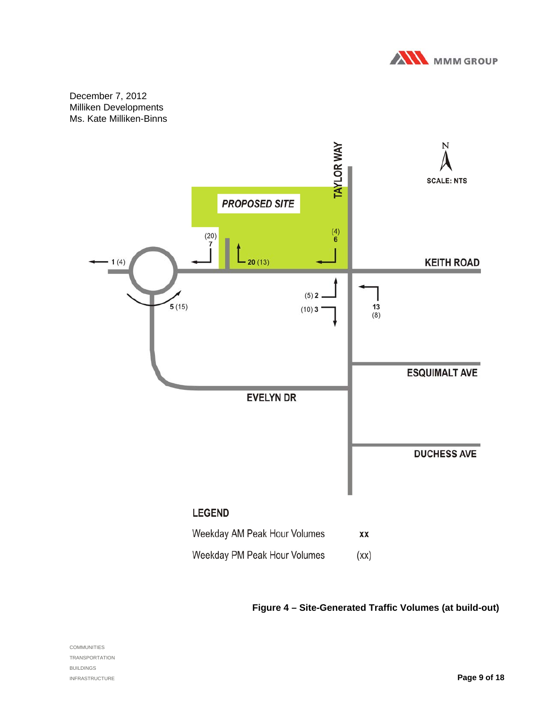



**Figure 4 – Site-Generated Traffic Volumes (at build-out)** 

COMMUNITIES TRANSPORTATION BUILDINGS INFRASTRUCTURE **Page 9 of 18**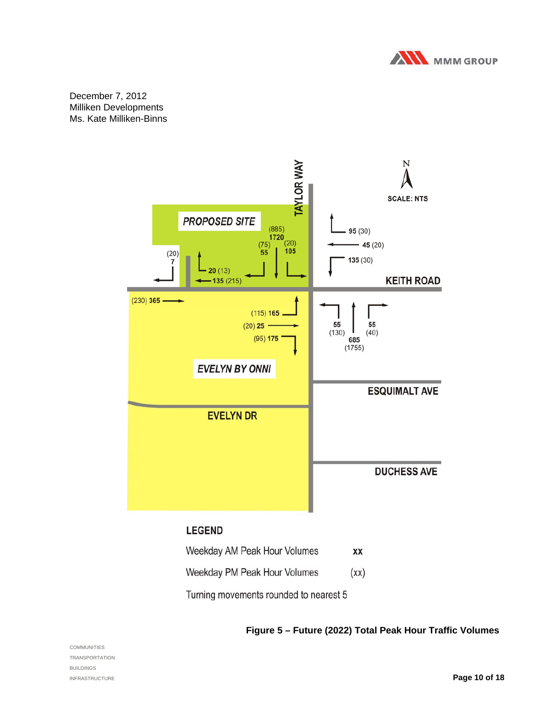



**Figure 5 – Future (2022) Total Peak Hour Traffic Volumes** 

COMMUNITIES TRANSPORTATION BUILDINGS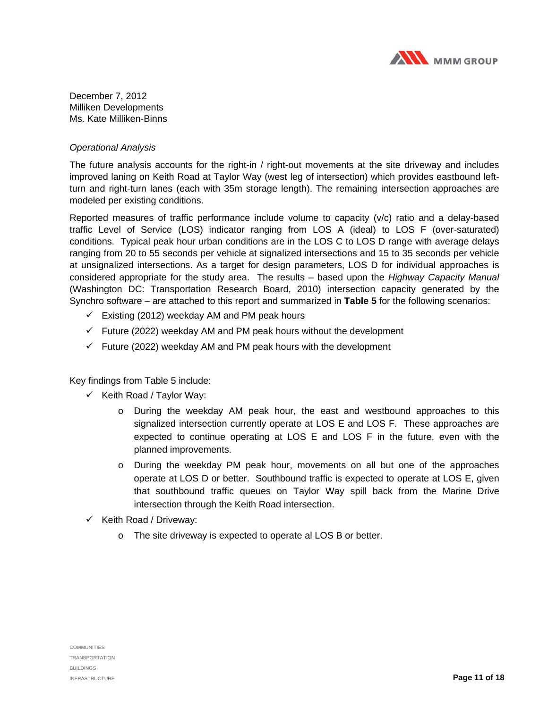

#### *Operational Analysis*

The future analysis accounts for the right-in / right-out movements at the site driveway and includes improved laning on Keith Road at Taylor Way (west leg of intersection) which provides eastbound leftturn and right-turn lanes (each with 35m storage length). The remaining intersection approaches are modeled per existing conditions.

Reported measures of traffic performance include volume to capacity (v/c) ratio and a delay-based traffic Level of Service (LOS) indicator ranging from LOS A (ideal) to LOS F (over-saturated) conditions. Typical peak hour urban conditions are in the LOS C to LOS D range with average delays ranging from 20 to 55 seconds per vehicle at signalized intersections and 15 to 35 seconds per vehicle at unsignalized intersections. As a target for design parameters, LOS D for individual approaches is considered appropriate for the study area. The results – based upon the *Highway Capacity Manual* (Washington DC: Transportation Research Board, 2010) intersection capacity generated by the Synchro software – are attached to this report and summarized in **Table 5** for the following scenarios:

- $\checkmark$  Existing (2012) weekday AM and PM peak hours
- $\checkmark$  Future (2022) weekday AM and PM peak hours without the development
- $\checkmark$  Future (2022) weekday AM and PM peak hours with the development

Key findings from Table 5 include:

- $\checkmark$  Keith Road / Taylor Way:
	- o During the weekday AM peak hour, the east and westbound approaches to this signalized intersection currently operate at LOS E and LOS F. These approaches are expected to continue operating at LOS E and LOS F in the future, even with the planned improvements.
	- o During the weekday PM peak hour, movements on all but one of the approaches operate at LOS D or better. Southbound traffic is expected to operate at LOS E, given that southbound traffic queues on Taylor Way spill back from the Marine Drive intersection through the Keith Road intersection.
- $\checkmark$  Keith Road / Driveway:
	- o The site driveway is expected to operate al LOS B or better.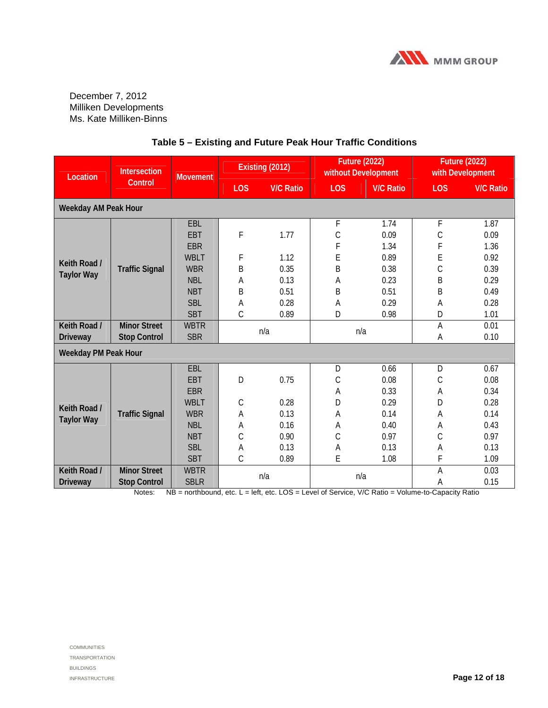

| Location             | <b>Intersection</b>   | <b>Movement</b> |            | Existing (2012)  |             | <b>Future (2022)</b><br>without Development |               | <b>Future (2022)</b><br>with Development |
|----------------------|-----------------------|-----------------|------------|------------------|-------------|---------------------------------------------|---------------|------------------------------------------|
|                      | Control               |                 | <b>LOS</b> | <b>V/C Ratio</b> | <b>LOS</b>  | <b>V/C Ratio</b>                            | <b>LOS</b>    | <b>V/C Ratio</b>                         |
| Weekday AM Peak Hour |                       |                 |            |                  |             |                                             |               |                                          |
|                      |                       | EBL             |            |                  | F           | 1.74                                        | $\mathsf F$   | 1.87                                     |
|                      |                       | EBT             | F          | 1.77             | $\mathsf C$ | 0.09                                        | $\mathsf C$   | 0.09                                     |
|                      |                       | <b>EBR</b>      |            |                  | F           | 1.34                                        | F             | 1.36                                     |
| Keith Road /         |                       | <b>WBLT</b>     | F          | 1.12             | E           | 0.89                                        | E             | 0.92                                     |
|                      | <b>Traffic Signal</b> | <b>WBR</b>      | B          | 0.35             | B           | 0.38                                        | $\mathsf C$   | 0.39                                     |
| <b>Taylor Way</b>    |                       | <b>NBL</b>      | Α          | 0.13             | Α           | 0.23                                        | B             | 0.29                                     |
|                      |                       | <b>NBT</b>      | B          | 0.51             | B           | 0.51                                        | B             | 0.49                                     |
|                      |                       | <b>SBL</b>      | Α          | 0.28             | Α           | 0.29                                        | A             | 0.28                                     |
|                      |                       | <b>SBT</b>      | C          | 0.89             | D           | 0.98                                        | D             | 1.01                                     |
| Keith Road /         | <b>Minor Street</b>   | <b>WBTR</b>     |            | n/a              |             | n/a                                         | A             | 0.01                                     |
| Driveway             | <b>Stop Control</b>   | <b>SBR</b>      |            |                  |             |                                             | A             | 0.10                                     |
| Weekday PM Peak Hour |                       |                 |            |                  |             |                                             |               |                                          |
|                      |                       | <b>EBL</b>      |            |                  | D           | 0.66                                        | D             | 0.67                                     |
|                      |                       | EBT             | D          | 0.75             | C           | 0.08                                        | $\mathcal{C}$ | 0.08                                     |
|                      |                       | <b>EBR</b>      |            |                  | Α           | 0.33                                        | Α             | 0.34                                     |
| Keith Road /         |                       | <b>WBLT</b>     | С          | 0.28             | D           | 0.29                                        | D             | 0.28                                     |
| <b>Taylor Way</b>    | <b>Traffic Signal</b> | <b>WBR</b>      | A          | 0.13             | Α           | 0.14                                        | A             | 0.14                                     |
|                      |                       | <b>NBL</b>      | A          | 0.16             | Α           | 0.40                                        | A             | 0.43                                     |
|                      |                       | <b>NBT</b>      | C          | 0.90             | C           | 0.97                                        | $\mathcal{C}$ | 0.97                                     |
|                      |                       | <b>SBL</b>      | A          | 0.13             | Α           | 0.13                                        | A             | 0.13                                     |
|                      |                       | <b>SBT</b>      | C          | 0.89             | E           | 1.08                                        | F             | 1.09                                     |
| Keith Road /         | <b>Minor Street</b>   | <b>WBTR</b>     |            | n/a              |             | n/a                                         | A             | 0.03                                     |
| <b>Driveway</b>      | <b>Stop Control</b>   | <b>SBLR</b>     |            |                  |             |                                             | Α             | 0.15                                     |

### **Table 5 – Existing and Future Peak Hour Traffic Conditions**

Notes: NB = northbound, etc. L = left, etc. LOS = Level of Service, V/C Ratio = Volume-to-Capacity Ratio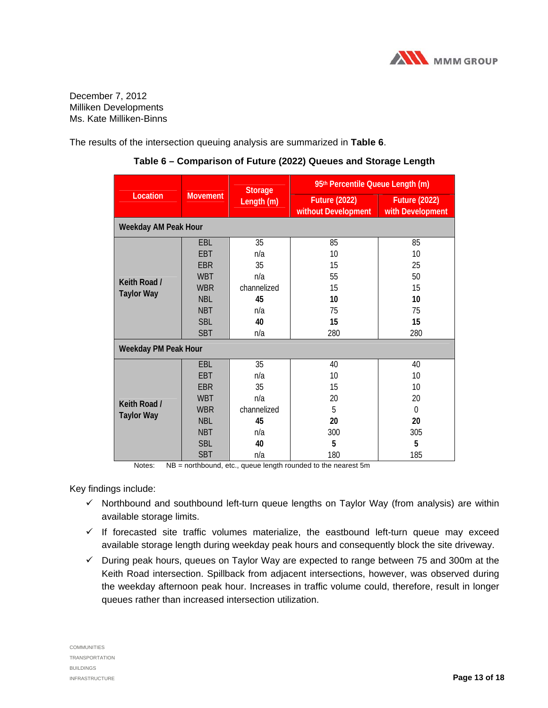

The results of the intersection queuing analysis are summarized in **Table 6**.

|                      |                 | <b>Storage</b> | 95 <sup>th</sup> Percentile Queue Length (m) |                                          |
|----------------------|-----------------|----------------|----------------------------------------------|------------------------------------------|
| Location             | <b>Movement</b> | Length (m)     | <b>Future (2022)</b><br>without Development  | <b>Future (2022)</b><br>with Development |
| Weekday AM Peak Hour |                 |                |                                              |                                          |
|                      | EBL             | 35             | 85                                           | 85                                       |
|                      | <b>EBT</b>      | n/a            | 10                                           | 10                                       |
|                      | <b>EBR</b>      | 35             | 15                                           | 25                                       |
| Keith Road /         | <b>WBT</b>      | n/a            | 55                                           | 50                                       |
| <b>Taylor Way</b>    | <b>WBR</b>      | channelized    | 15                                           | 15                                       |
|                      | <b>NBL</b>      | 45             | 10                                           | 10                                       |
|                      | <b>NBT</b>      | n/a            | 75                                           | 75                                       |
|                      | <b>SBL</b>      | 40             | 15                                           | 15                                       |
|                      | <b>SBT</b>      | n/a            | 280                                          | 280                                      |
| Weekday PM Peak Hour |                 |                |                                              |                                          |
|                      | EBL             | 35             | 40                                           | 40                                       |
|                      | <b>EBT</b>      | n/a            | 10                                           | 10                                       |
|                      | <b>EBR</b>      | 35             | 15                                           | 10                                       |
| Keith Road /         | <b>WBT</b>      | n/a            | 20                                           | 20                                       |
| <b>Taylor Way</b>    | <b>WBR</b>      | channelized    | 5                                            | $\theta$                                 |
|                      | <b>NBL</b>      | 45             | 20                                           | 20                                       |
|                      | <b>NBT</b>      | n/a            | 300                                          | 305                                      |
|                      | <b>SBL</b>      | 40             | 5                                            | 5                                        |
|                      | <b>SBT</b>      | n/a            | 180                                          | 185                                      |

#### **Table 6 – Comparison of Future (2022) Queues and Storage Length**

Notes: NB = northbound, etc., queue length rounded to the nearest 5m

Key findings include:

- $\checkmark$  Northbound and southbound left-turn queue lengths on Taylor Way (from analysis) are within available storage limits.
- $\checkmark$  If forecasted site traffic volumes materialize, the eastbound left-turn queue may exceed available storage length during weekday peak hours and consequently block the site driveway.
- $\checkmark$  During peak hours, queues on Taylor Way are expected to range between 75 and 300m at the Keith Road intersection. Spillback from adjacent intersections, however, was observed during the weekday afternoon peak hour. Increases in traffic volume could, therefore, result in longer queues rather than increased intersection utilization.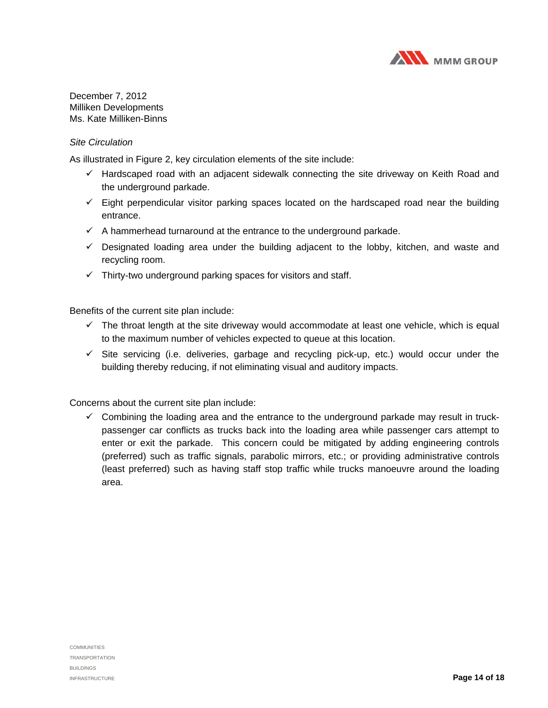

#### *Site Circulation*

As illustrated in Figure 2, key circulation elements of the site include:

- $\checkmark$  Hardscaped road with an adjacent sidewalk connecting the site driveway on Keith Road and the underground parkade.
- $\checkmark$  Eight perpendicular visitor parking spaces located on the hardscaped road near the building entrance.
- $\checkmark$  A hammerhead turnaround at the entrance to the underground parkade.
- $\checkmark$  Designated loading area under the building adjacent to the lobby, kitchen, and waste and recycling room.
- $\checkmark$  Thirty-two underground parking spaces for visitors and staff.

Benefits of the current site plan include:

- $\checkmark$  The throat length at the site driveway would accommodate at least one vehicle, which is equal to the maximum number of vehicles expected to queue at this location.
- $\checkmark$  Site servicing (i.e. deliveries, garbage and recycling pick-up, etc.) would occur under the building thereby reducing, if not eliminating visual and auditory impacts.

Concerns about the current site plan include:

 $\checkmark$  Combining the loading area and the entrance to the underground parkade may result in truckpassenger car conflicts as trucks back into the loading area while passenger cars attempt to enter or exit the parkade. This concern could be mitigated by adding engineering controls (preferred) such as traffic signals, parabolic mirrors, etc.; or providing administrative controls (least preferred) such as having staff stop traffic while trucks manoeuvre around the loading area.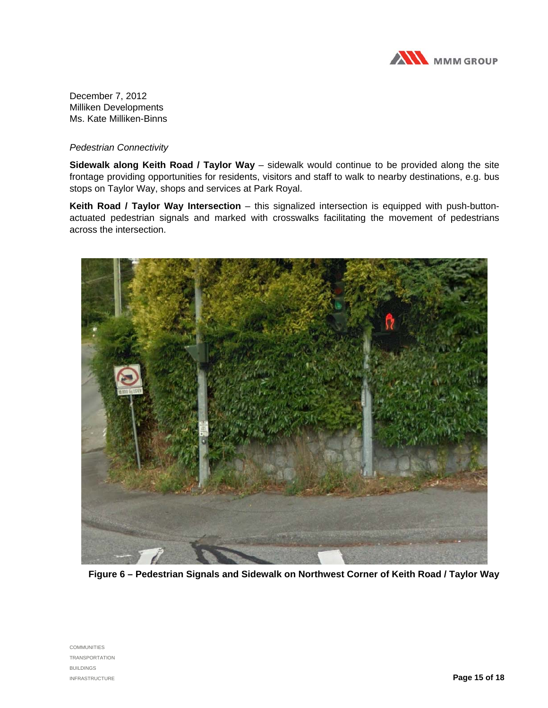

#### *Pedestrian Connectivity*

**Sidewalk along Keith Road / Taylor Way** – sidewalk would continue to be provided along the site frontage providing opportunities for residents, visitors and staff to walk to nearby destinations, e.g. bus stops on Taylor Way, shops and services at Park Royal.

**Keith Road / Taylor Way Intersection** – this signalized intersection is equipped with push-buttonactuated pedestrian signals and marked with crosswalks facilitating the movement of pedestrians across the intersection.



**Figure 6 – Pedestrian Signals and Sidewalk on Northwest Corner of Keith Road / Taylor Way**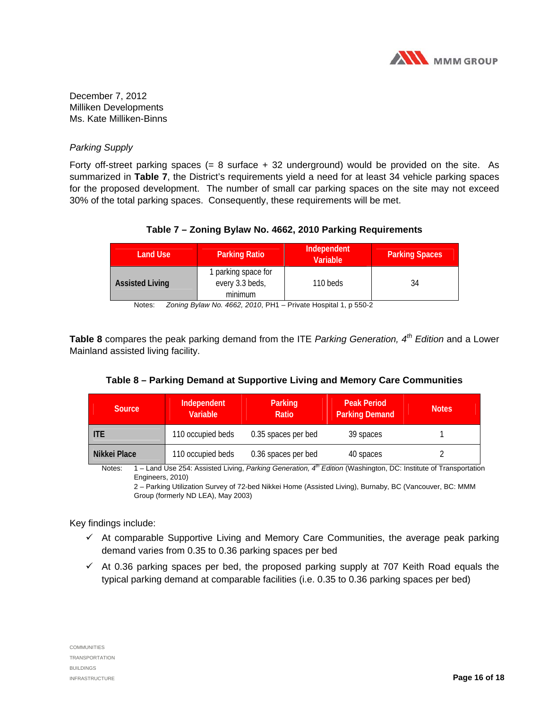

#### *Parking Supply*

Forty off-street parking spaces  $(= 8 \text{ surface } + 32 \text{ underground})$  would be provided on the site. As summarized in **Table 7**, the District's requirements yield a need for at least 34 vehicle parking spaces for the proposed development. The number of small car parking spaces on the site may not exceed 30% of the total parking spaces. Consequently, these requirements will be met.

#### **Table 7 – Zoning Bylaw No. 4662, 2010 Parking Requirements**

| Land Use               | <b>Parking Ratio</b>                                           | Independent<br>Variable | <b>Parking Spaces</b> |
|------------------------|----------------------------------------------------------------|-------------------------|-----------------------|
| <b>Assisted Living</b> | 1 parking space for<br>every 3.3 beds,<br>minimum              | 110 beds                | 34                    |
| Notes:                 | Zoning Bylaw No. 4662, 2010, PH1 - Private Hospital 1, p 550-2 |                         |                       |

**Table 8** compares the peak parking demand from the ITE *Parking Generation, 4th Edition* and a Lower Mainland assisted living facility.

| Table 8 – Parking Demand at Supportive Living and Memory Care Communities |  |
|---------------------------------------------------------------------------|--|
|                                                                           |  |

| <b>Source</b> | Independent<br><b>Variable</b> | Parking<br><b>Ratio</b> | <b>Peak Period</b><br><b>Parking Demand</b> | <b>Notes</b> |
|---------------|--------------------------------|-------------------------|---------------------------------------------|--------------|
| <b>ITE</b>    | 110 occupied beds              | 0.35 spaces per bed     | 39 spaces                                   |              |
| Nikkei Place  | 110 occupied beds              | 0.36 spaces per bed     | 40 spaces                                   |              |

Notes: 1 – Land Use 254: Assisted Living, *Parking Generation, 4th Edition* (Washington, DC: Institute of Transportation Engineers, 2010)

2 – Parking Utilization Survey of 72-bed Nikkei Home (Assisted Living), Burnaby, BC (Vancouver, BC: MMM Group (formerly ND LEA), May 2003)

Key findings include:

- $\checkmark$  At comparable Supportive Living and Memory Care Communities, the average peak parking demand varies from 0.35 to 0.36 parking spaces per bed
- $\checkmark$  At 0.36 parking spaces per bed, the proposed parking supply at 707 Keith Road equals the typical parking demand at comparable facilities (i.e. 0.35 to 0.36 parking spaces per bed)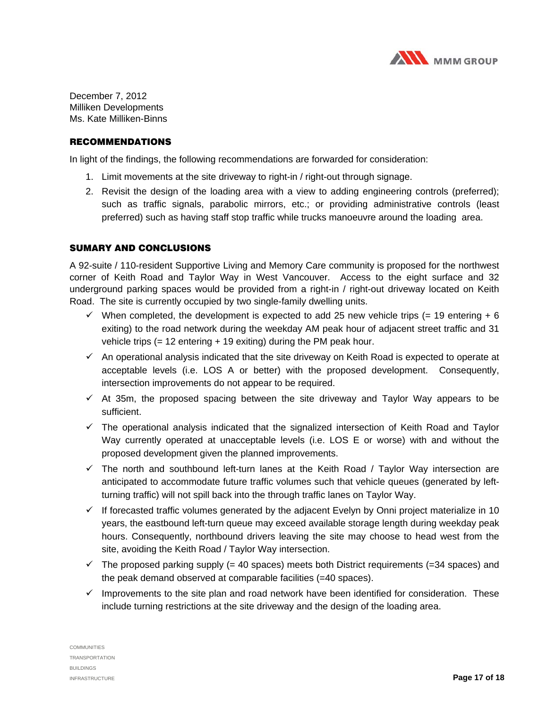

#### RECOMMENDATIONS

In light of the findings, the following recommendations are forwarded for consideration:

- 1. Limit movements at the site driveway to right-in / right-out through signage.
- 2. Revisit the design of the loading area with a view to adding engineering controls (preferred); such as traffic signals, parabolic mirrors, etc.; or providing administrative controls (least preferred) such as having staff stop traffic while trucks manoeuvre around the loading area.

#### SUMARY AND CONCLUSIONS

A 92-suite / 110-resident Supportive Living and Memory Care community is proposed for the northwest corner of Keith Road and Taylor Way in West Vancouver. Access to the eight surface and 32 underground parking spaces would be provided from a right-in / right-out driveway located on Keith Road. The site is currently occupied by two single-family dwelling units.

- $\checkmark$  When completed, the development is expected to add 25 new vehicle trips (= 19 entering + 6 exiting) to the road network during the weekday AM peak hour of adjacent street traffic and 31 vehicle trips  $(= 12 \text{ entering } + 19 \text{ exiting})$  during the PM peak hour.
- $\checkmark$  An operational analysis indicated that the site driveway on Keith Road is expected to operate at acceptable levels (i.e. LOS A or better) with the proposed development. Consequently, intersection improvements do not appear to be required.
- $\checkmark$  At 35m, the proposed spacing between the site driveway and Taylor Way appears to be sufficient.
- $\checkmark$  The operational analysis indicated that the signalized intersection of Keith Road and Taylor Way currently operated at unacceptable levels (i.e. LOS E or worse) with and without the proposed development given the planned improvements.
- $\checkmark$  The north and southbound left-turn lanes at the Keith Road / Taylor Way intersection are anticipated to accommodate future traffic volumes such that vehicle queues (generated by leftturning traffic) will not spill back into the through traffic lanes on Taylor Way.
- $\checkmark$  If forecasted traffic volumes generated by the adjacent Evelyn by Onni project materialize in 10 years, the eastbound left-turn queue may exceed available storage length during weekday peak hours. Consequently, northbound drivers leaving the site may choose to head west from the site, avoiding the Keith Road / Taylor Way intersection.
- $\checkmark$  The proposed parking supply (= 40 spaces) meets both District requirements (=34 spaces) and the peak demand observed at comparable facilities (=40 spaces).
- $\checkmark$  Improvements to the site plan and road network have been identified for consideration. These include turning restrictions at the site driveway and the design of the loading area.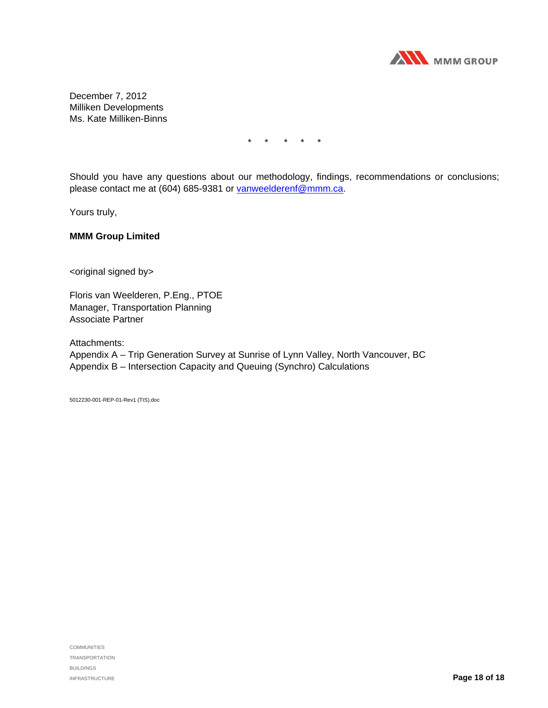

\* \* \* \* \*

Should you have any questions about our methodology, findings, recommendations or conclusions; please contact me at (604) 685-9381 or vanweelderenf@mmm.ca.

Yours truly,

#### **MMM Group Limited**

<original signed by>

Floris van Weelderen, P.Eng., PTOE Manager, Transportation Planning Associate Partner

Attachments:

Appendix A – Trip Generation Survey at Sunrise of Lynn Valley, North Vancouver, BC Appendix B – Intersection Capacity and Queuing (Synchro) Calculations

5012230-001-REP-01-Rev1 (TIS).doc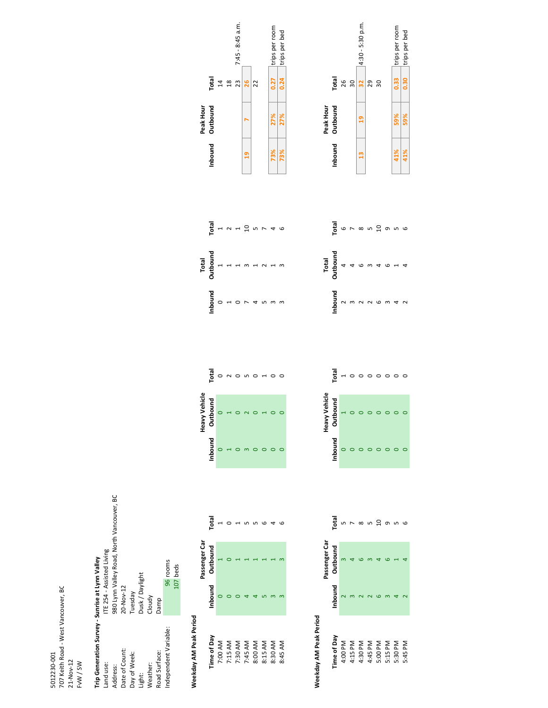5012230‐001 707 Keith Road ‐ West Vancouver, BC 21‐Nov‐12 5012230-001<br>707 Keith Road - West Vancouver, BC<br>21-Nov-12<br>FvW / SW

# **Trip Generation Survey ‐ Sunrise at Lynn Valley**

|                                                 |                                        | 980 Lynn Valley Road, North Vancouver, BC |                             |                         |                           |                    |                       | 96 rooms              |          |
|-------------------------------------------------|----------------------------------------|-------------------------------------------|-----------------------------|-------------------------|---------------------------|--------------------|-----------------------|-----------------------|----------|
| Trip Generation Survey - Sunrise at Lynn Valley | ITE 254 - Assisted Living<br>Land use: | Address:                                  | 20-Nov-12<br>Date of Count: | Tuesday<br>Day of Week: | Dusk / Daylight<br>Light: | Cloudy<br>Weather: | Damp<br>Road Surface: | Independent Variable: | 107 beds |

# Weekday AM Peak Period **Weekday AM Peak Period**

|                                                                                      |                       | Passenger Car          |                                         |              | <b>Heavy Vehicle</b> |       | Total            |       |     | Peak Hour        |                 |                      |
|--------------------------------------------------------------------------------------|-----------------------|------------------------|-----------------------------------------|--------------|----------------------|-------|------------------|-------|-----|------------------|-----------------|----------------------|
|                                                                                      |                       |                        | Total                                   | Inbound<br>0 | <b>Dutbound</b>      | Total | Inbound Outbound | Total |     | Inbound Outbound | Total           |                      |
|                                                                                      | Inbound<br>$0$<br>$0$ | Outbound $\frac{1}{0}$ | $\begin{array}{c}\n\hline\n\end{array}$ |              |                      |       |                  |       |     |                  | $\overline{14}$ |                      |
|                                                                                      |                       |                        |                                         |              |                      |       |                  |       |     |                  | $18$            |                      |
|                                                                                      |                       |                        |                                         |              |                      |       |                  |       |     |                  | 23              | 7:45 - 8:45 a.m.     |
|                                                                                      | $\frac{1}{4}$         |                        |                                         |              |                      |       |                  |       |     |                  | <b>26</b>       |                      |
|                                                                                      |                       |                        |                                         |              |                      |       |                  |       |     |                  | 22              |                      |
|                                                                                      |                       |                        |                                         |              |                      |       |                  |       |     |                  |                 |                      |
| <b>Time of Day</b><br>7:00 AM<br>7:15 AM<br>7:30 AM<br>8:30 AM<br>8:45 AM<br>8:45 AM |                       |                        |                                         |              |                      |       |                  |       | 73% | 27%              |                 | 0.27  trips per room |
|                                                                                      |                       |                        |                                         |              |                      |       |                  |       | 13% | 27%              |                 | trips per bed        |
|                                                                                      |                       |                        |                                         |              |                      |       |                  |       |     |                  |                 |                      |

# **Weekday AM Peak Period Weekday AM Peak Period**

|                                                                                                  |                                    | assenger Car |                                                                                                                                                                        |                                               | <b>Heavy Vehicle</b> |       |              | Total          |       |                                         | Peak Hour        |                   |                                |
|--------------------------------------------------------------------------------------------------|------------------------------------|--------------|------------------------------------------------------------------------------------------------------------------------------------------------------------------------|-----------------------------------------------|----------------------|-------|--------------|----------------|-------|-----------------------------------------|------------------|-------------------|--------------------------------|
|                                                                                                  |                                    |              |                                                                                                                                                                        |                                               | Outbound             | Total | Inbound<br>2 | Outbound       | Total |                                         | Inbound Outbound |                   |                                |
|                                                                                                  |                                    |              |                                                                                                                                                                        | Inbound<br>0<br>0                             |                      |       |              | $\overline{a}$ |       |                                         |                  | Total<br>26<br>30 |                                |
|                                                                                                  | <mark>Inbound</mark><br>שמש<br>שמש |              | $\frac{1}{1}$<br>$\frac{1}{2}$<br>$\frac{1}{2}$<br>$\frac{1}{2}$<br>$\frac{1}{2}$<br>$\frac{1}{2}$<br>$\frac{1}{2}$<br>$\frac{1}{2}$<br>$\frac{1}{2}$<br>$\frac{1}{2}$ |                                               |                      |       |              |                |       |                                         |                  |                   |                                |
|                                                                                                  |                                    |              |                                                                                                                                                                        |                                               |                      |       |              |                |       | $\begin{bmatrix} 13 \\ 1 \end{bmatrix}$ | $\frac{1}{2}$    |                   | $\frac{32}{2}$ 4:30 - 5:30 p.n |
|                                                                                                  |                                    |              |                                                                                                                                                                        |                                               |                      |       |              |                |       |                                         |                  |                   |                                |
|                                                                                                  |                                    |              |                                                                                                                                                                        | $\begin{array}{c} 0 & 0 \\ 0 & 0 \end{array}$ |                      |       |              |                |       |                                         |                  | <u>ភ្ល</u>        |                                |
|                                                                                                  |                                    |              |                                                                                                                                                                        |                                               |                      |       |              |                |       |                                         |                  |                   |                                |
| <b>ilime of Day</b><br>4:00 PM<br>4:15 PM<br>4:15 PM<br>4:30 PM<br>5:30 PM<br>5:45 PM<br>5:45 PM |                                    |              |                                                                                                                                                                        |                                               |                      |       |              |                |       | 41%                                     |                  |                   | 0.33 trips per room            |
|                                                                                                  |                                    |              | ი<br>დ                                                                                                                                                                 |                                               |                      |       |              |                |       | 11%                                     | 59%              |                   | 0.30 trips per bed             |

| .<br>cta                         |  |  | $\begin{array}{c} 0\\  \text{N} \end{array}$ |  |                           | eta   |  | $\begin{array}{cccccccccc} \mathbf{\mathbf{a}} & \mathbf{0} & \mathbf{0} & \mathbf{0} & \mathbf{0} & \mathbf{0} & \mathbf{0} & \mathbf{0} & \mathbf{0} & \mathbf{0} & \mathbf{0} & \mathbf{0} & \mathbf{0} & \mathbf{0} & \mathbf{0} & \mathbf{0} & \mathbf{0} & \mathbf{0} & \mathbf{0} & \mathbf{0} & \mathbf{0} & \mathbf{0} & \mathbf{0} & \mathbf{0} & \mathbf{0} & \mathbf{0} & \mathbf{0} & \mathbf{0} & \mathbf{0} & \mathbf{0$ |  |  |
|----------------------------------|--|--|----------------------------------------------|--|---------------------------|-------|--|-----------------------------------------------------------------------------------------------------------------------------------------------------------------------------------------------------------------------------------------------------------------------------------------------------------------------------------------------------------------------------------------------------------------------------------------|--|--|
| <b>Heavy Vehicle</b><br>Outbound |  |  | $O H O N O H O O$                            |  | Heavy Vehicle<br>Outbound |       |  | $\begin{array}{ccccccccccccc}\n\text{A} & \text{C} & \text{C} & \text{C} & \text{C} & \text{C} & \text{C} & \text{C}\n\end{array}$                                                                                                                                                                                                                                                                                                      |  |  |
| Inbound                          |  |  |                                              |  |                           | nboun |  | $\begin{array}{cccccccccccccc} \circ & \circ & \circ & \circ & \circ & \circ & \circ & \circ \end{array}$                                                                                                                                                                                                                                                                                                                               |  |  |

| ო ო     |   |  | Inbound             |  |  |  | 2<br>2<br>2<br>2<br>2<br>2<br>2<br>2<br>2<br>2<br>2<br>2<br>2<br>2<br>2<br>2<br> |  |
|---------|---|--|---------------------|--|--|--|----------------------------------------------------------------------------------|--|
| $\circ$ | 0 |  |                     |  |  |  | $\frac{1}{6}$ $\rightarrow$ 0000000                                              |  |
|         |   |  | y Vehicle<br>tbound |  |  |  | 40000000                                                                         |  |

| Outbound     | Total         |                                                                                           | TONOMOHOO<br>PONOMOHOO              | PO<br>POD<br>POD HOND MOD      |                                                                                                                                                                                                                                                                                                                                                                                                                                                                 | $T$ and $T$ and $T$ and $T$ and $T$ and $T$ and $T$                   |                                                      | Inbound Outbound                                             |
|--------------|---------------|-------------------------------------------------------------------------------------------|-------------------------------------|--------------------------------|-----------------------------------------------------------------------------------------------------------------------------------------------------------------------------------------------------------------------------------------------------------------------------------------------------------------------------------------------------------------------------------------------------------------------------------------------------------------|-----------------------------------------------------------------------|------------------------------------------------------|--------------------------------------------------------------|
|              |               |                                                                                           |                                     |                                |                                                                                                                                                                                                                                                                                                                                                                                                                                                                 |                                                                       |                                                      |                                                              |
|              |               |                                                                                           |                                     |                                |                                                                                                                                                                                                                                                                                                                                                                                                                                                                 |                                                                       |                                                      |                                                              |
|              |               |                                                                                           |                                     |                                |                                                                                                                                                                                                                                                                                                                                                                                                                                                                 |                                                                       |                                                      |                                                              |
|              |               |                                                                                           |                                     |                                | o<br>Postala dia dia dia 40<br>Postala dia 40 menerima dia 40 menerima di konstrumenta di Superior di Superior di Superior di Superior di Su<br>Di Superior di Superior di Superior di Superior di Superior di Superior di Superior di                                                                                                                                                                                                                          |                                                                       |                                                      | $19$ 7                                                       |
|              |               |                                                                                           |                                     |                                |                                                                                                                                                                                                                                                                                                                                                                                                                                                                 |                                                                       |                                                      |                                                              |
|              |               |                                                                                           |                                     |                                |                                                                                                                                                                                                                                                                                                                                                                                                                                                                 |                                                                       |                                                      |                                                              |
|              |               |                                                                                           |                                     |                                |                                                                                                                                                                                                                                                                                                                                                                                                                                                                 |                                                                       |                                                      |                                                              |
|              |               | Outbound<br>on chochoo<br>o                                                               |                                     |                                |                                                                                                                                                                                                                                                                                                                                                                                                                                                                 |                                                                       | $\begin{array}{c c}\n73\% & \\ 73\% & \n\end{array}$ | 27%<br>27%                                                   |
| assenger Car |               |                                                                                           |                                     |                                |                                                                                                                                                                                                                                                                                                                                                                                                                                                                 |                                                                       |                                                      |                                                              |
| Outbound     | Total<br>D    | dendronal<br><i>dendronal</i><br><b>dendronal</b><br><b>dendronal</b><br><b>dendronal</b> |                                     |                                | $\begin{array}{l} \mbox{\bf \texttt{redu}}\\ \mbox{\bf \texttt{redu}}\\ \mbox{\bf \texttt{redu}}\\ \mbox{\bf \texttt{r}}\\ \mbox{\bf \texttt{r}}\\ \mbox{\bf \texttt{r}}\\ \mbox{\bf \texttt{r}}\\ \mbox{\bf \texttt{r}}\\ \mbox{\bf \texttt{r}}\\ \mbox{\bf \texttt{r}}\\ \mbox{\bf \texttt{r}}\\ \mbox{\bf \texttt{r}}\\ \mbox{\bf \texttt{r}}\\ \mbox{\bf \texttt{r}}\\ \mbox{\bf \texttt{r}}\\ \mbox{\bf \texttt{r}}\\ \mbox{\bf \texttt{r}}\\ \mbox{\bf \$ |                                                                       |                                                      | Peak Hour<br>Inbound Outbound                                |
|              |               |                                                                                           | $\frac{1}{6}$ $\rightarrow$ 0000000 | ne<br>a<br>a<br>mana a mana an |                                                                                                                                                                                                                                                                                                                                                                                                                                                                 | <b>Ta</b><br><b>b</b><br><b>b</b><br><b>c</b><br><b>c</b><br><b>c</b> |                                                      |                                                              |
|              |               |                                                                                           |                                     |                                |                                                                                                                                                                                                                                                                                                                                                                                                                                                                 |                                                                       |                                                      |                                                              |
|              | ${}^{\infty}$ |                                                                                           |                                     |                                |                                                                                                                                                                                                                                                                                                                                                                                                                                                                 |                                                                       |                                                      |                                                              |
|              | n 9           |                                                                                           |                                     |                                |                                                                                                                                                                                                                                                                                                                                                                                                                                                                 |                                                                       |                                                      | $\begin{array}{ c c c } \hline & & 19 \\ \hline \end{array}$ |
|              |               |                                                                                           |                                     |                                |                                                                                                                                                                                                                                                                                                                                                                                                                                                                 |                                                                       |                                                      |                                                              |
|              | თ,            |                                                                                           |                                     |                                |                                                                                                                                                                                                                                                                                                                                                                                                                                                                 |                                                                       |                                                      |                                                              |
|              | LŊ            |                                                                                           |                                     |                                |                                                                                                                                                                                                                                                                                                                                                                                                                                                                 |                                                                       | $\frac{41\%}{41\%}$                                  | 59%<br>59%                                                   |
|              | $\circ$       |                                                                                           |                                     |                                |                                                                                                                                                                                                                                                                                                                                                                                                                                                                 |                                                                       |                                                      |                                                              |



Total

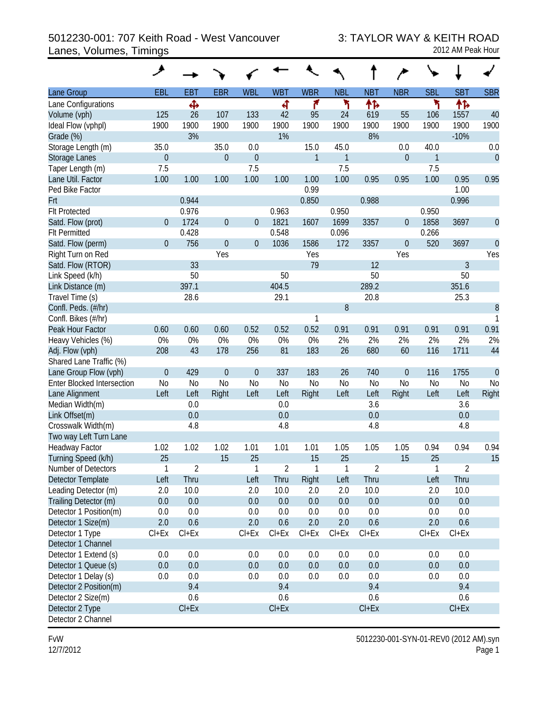# 5012230-001: 707 Keith Road - West Vancouver 3: TAYLOR WAY & KEITH ROAD Lanes, Volumes, Timings 2012 AM Peak Hour

|                                   | مر               |            |                  |                |                |              |            |                |                  |            |                |                |
|-----------------------------------|------------------|------------|------------------|----------------|----------------|--------------|------------|----------------|------------------|------------|----------------|----------------|
| Lane Group                        | EBL              | <b>EBT</b> | <b>EBR</b>       | <b>WBL</b>     | <b>WBT</b>     | <b>WBR</b>   | <b>NBL</b> | <b>NBT</b>     | <b>NBR</b>       | <b>SBL</b> | <b>SBT</b>     | <b>SBR</b>     |
| Lane Configurations               |                  | Ф          |                  |                | ৰ              | ۴            | ۲          | 怍              |                  | ۲          | 怍              |                |
| Volume (vph)                      | 125              | 26         | 107              | 133            | 42             | 95           | 24         | 619            | 55               | 106        | 1557           | 40             |
| Ideal Flow (vphpl)                | 1900             | 1900       | 1900             | 1900           | 1900           | 1900         | 1900       | 1900           | 1900             | 1900       | 1900           | 1900           |
| Grade (%)                         |                  | 3%         |                  |                | 1%             |              |            | 8%             |                  |            | $-10%$         |                |
| Storage Length (m)                | 35.0             |            | 35.0             | 0.0            |                | 15.0         | 45.0       |                | 0.0              | 40.0       |                | 0.0            |
| Storage Lanes                     | $\boldsymbol{0}$ |            | $\mathbf 0$      | $\theta$       |                | $\mathbf{1}$ | 1          |                | $\boldsymbol{0}$ | 1          |                | $\theta$       |
| Taper Length (m)                  | 7.5              |            |                  | 7.5            |                |              | 7.5        |                |                  | 7.5        |                |                |
| Lane Util. Factor                 | 1.00             | 1.00       | 1.00             | 1.00           | 1.00           | 1.00         | 1.00       | 0.95           | 0.95             | 1.00       | 0.95           | 0.95           |
| Ped Bike Factor                   |                  |            |                  |                |                | 0.99         |            |                |                  |            | 1.00           |                |
| Frt                               |                  | 0.944      |                  |                |                | 0.850        |            | 0.988          |                  |            | 0.996          |                |
| <b>Flt Protected</b>              |                  | 0.976      |                  |                | 0.963          |              | 0.950      |                |                  | 0.950      |                |                |
| Satd. Flow (prot)                 | $\overline{0}$   | 1724       | $\boldsymbol{0}$ | $\theta$       | 1821           | 1607         | 1699       | 3357           | $\boldsymbol{0}$ | 1858       | 3697           | $\overline{0}$ |
| <b>Flt Permitted</b>              |                  | 0.428      |                  |                | 0.548          |              | 0.096      |                |                  | 0.266      |                |                |
| Satd. Flow (perm)                 | $\overline{0}$   | 756        | $\boldsymbol{0}$ | $\mathbf 0$    | 1036           | 1586         | 172        | 3357           | $\theta$         | 520        | 3697           | $\mathbf 0$    |
| Right Turn on Red                 |                  |            | Yes              |                |                | Yes          |            |                | Yes              |            |                | Yes            |
| Satd. Flow (RTOR)                 |                  | 33         |                  |                |                | 79           |            | 12             |                  |            | 3              |                |
| Link Speed (k/h)                  |                  | 50         |                  |                | 50             |              |            | 50             |                  |            | 50             |                |
| Link Distance (m)                 |                  | 397.1      |                  |                | 404.5          |              |            | 289.2          |                  |            | 351.6          |                |
| Travel Time (s)                   |                  | 28.6       |                  |                | 29.1           |              |            | 20.8           |                  |            | 25.3           |                |
| Confl. Peds. (#/hr)               |                  |            |                  |                |                |              | 8          |                |                  |            |                | 8              |
| Confl. Bikes (#/hr)               |                  |            |                  |                |                | 1            |            |                |                  |            |                | 1              |
| Peak Hour Factor                  | 0.60             | 0.60       | 0.60             | 0.52           | 0.52           | 0.52         | 0.91       | 0.91           | 0.91             | 0.91       | 0.91           | 0.91           |
| Heavy Vehicles (%)                | 0%               | 0%         | 0%               | 0%             | 0%             | 0%           | 2%         | 2%             | 2%               | 2%         | 2%             | 2%             |
| Adj. Flow (vph)                   | 208              | 43         | 178              | 256            | 81             | 183          | 26         | 680            | 60               | 116        | 1711           | 44             |
| Shared Lane Traffic (%)           |                  |            |                  |                |                |              |            |                |                  |            |                |                |
| Lane Group Flow (vph)             | $\theta$         | 429        | $\theta$         | $\theta$       | 337            | 183          | 26         | 740            | $\boldsymbol{0}$ | 116        | 1755           | $\mathbf 0$    |
| <b>Enter Blocked Intersection</b> | No               | No         | N <sub>0</sub>   | N <sub>0</sub> | N <sub>0</sub> | No           | <b>No</b>  | N <sub>0</sub> | N <sub>0</sub>   | <b>No</b>  | N <sub>0</sub> | N <sub>0</sub> |
| Lane Alignment                    | Left             | Left       | Right            | Left           | Left           | Right        | Left       | Left           | <b>Right</b>     | Left       | Left           | Right          |
| Median Width(m)                   |                  | 0.0        |                  |                | 0.0            |              |            | 3.6            |                  |            | 3.6            |                |
| Link Offset(m)                    |                  | 0.0        |                  |                | 0.0            |              |            | 0.0            |                  |            | 0.0            |                |
| Crosswalk Width(m)                |                  | 4.8        |                  |                | 4.8            |              |            | 4.8            |                  |            | 4.8            |                |
| Two way Left Turn Lane            |                  |            |                  |                |                |              |            |                |                  |            |                |                |
| Headway Factor                    | 1.02             | 1.02       | 1.02             | 1.01           | 1.01           | 1.01         | 1.05       | 1.05           | 1.05             | 0.94       | 0.94           | 0.94           |
| Turning Speed (k/h)               | 25               |            | 15               | 25             |                | 15           | 25         |                | 15               | 25         |                | 15             |
| Number of Detectors               | 1                | 2          |                  | 1              | 2              |              | 1          | 2              |                  | 1          | 2              |                |
| Detector Template                 | Left             | Thru       |                  | Left           | Thru           | Right        | Left       | Thru           |                  | Left       | Thru           |                |
| Leading Detector (m)              | 2.0              | 10.0       |                  | 2.0            | 10.0           | 2.0          | 2.0        | 10.0           |                  | 2.0        | 10.0           |                |
| Trailing Detector (m)             | 0.0              | 0.0        |                  | 0.0            | 0.0            | 0.0          | 0.0        | 0.0            |                  | 0.0        | 0.0            |                |
| Detector 1 Position(m)            | 0.0              | 0.0        |                  | 0.0            | 0.0            | 0.0          | 0.0        | 0.0            |                  | 0.0        | 0.0            |                |
| Detector 1 Size(m)                | 2.0              | 0.6        |                  | 2.0            | 0.6            | 2.0          | 2.0        | 0.6            |                  | 2.0        | 0.6            |                |
| Detector 1 Type                   | $Cl + Ex$        | $Cl + Ex$  |                  | $Cl + Ex$      | $Cl + Ex$      | $Cl + Ex$    | $Cl + Ex$  | $Cl + Ex$      |                  | $Cl + Ex$  | $Cl + Ex$      |                |
| Detector 1 Channel                |                  |            |                  |                |                |              |            |                |                  |            |                |                |
| Detector 1 Extend (s)             | 0.0              | 0.0        |                  | 0.0            | 0.0            | 0.0          | 0.0        | 0.0            |                  | 0.0        | 0.0            |                |
| Detector 1 Queue (s)              | 0.0              | 0.0        |                  | 0.0            | 0.0            | 0.0          | 0.0        | 0.0            |                  | 0.0        | 0.0            |                |
| Detector 1 Delay (s)              | 0.0              | 0.0        |                  | 0.0            | 0.0            | 0.0          | 0.0        | 0.0            |                  | 0.0        | 0.0            |                |
| Detector 2 Position(m)            |                  | 9.4        |                  |                | 9.4            |              |            | 9.4            |                  |            | 9.4            |                |
| Detector 2 Size(m)                |                  | 0.6        |                  |                | 0.6            |              |            | 0.6            |                  |            | 0.6            |                |
| Detector 2 Type                   |                  | $Cl + Ex$  |                  |                | $Cl + Ex$      |              |            | $Cl + Ex$      |                  |            | $Cl + Ex$      |                |
| Detector 2 Channel                |                  |            |                  |                |                |              |            |                |                  |            |                |                |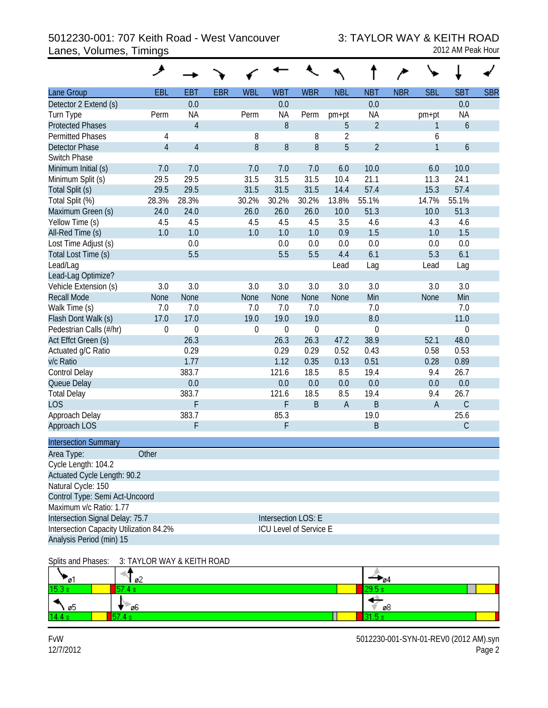## 5012230-001: 707 Keith Road - West Vancouver 3: TAYLOR WAY & KEITH ROAD Lanes, Volumes, Timings 2012 AM Peak Hour

|                                         | حر               |                |            |             |                        |                  |                |                  |            |              |                  |            |
|-----------------------------------------|------------------|----------------|------------|-------------|------------------------|------------------|----------------|------------------|------------|--------------|------------------|------------|
| Lane Group                              | <b>EBL</b>       | <b>EBT</b>     | <b>EBR</b> | <b>WBL</b>  | <b>WBT</b>             | <b>WBR</b>       | <b>NBL</b>     | <b>NBT</b>       | <b>NBR</b> | <b>SBL</b>   | <b>SBT</b>       | <b>SBR</b> |
| Detector 2 Extend (s)                   |                  | 0.0            |            |             | 0.0                    |                  |                | 0.0              |            |              | 0.0              |            |
| Turn Type                               | Perm             | <b>NA</b>      |            | Perm        | NA                     | Perm             | pm+pt          | NA               |            | pm+pt        | ΝA               |            |
| <b>Protected Phases</b>                 |                  | $\overline{4}$ |            |             | 8                      |                  | 5              | $\overline{2}$   |            | 1            | 6                |            |
| <b>Permitted Phases</b>                 | 4                |                |            | 8           |                        | 8                | $\overline{2}$ |                  |            | 6            |                  |            |
| <b>Detector Phase</b>                   | $\overline{4}$   | $\overline{4}$ |            | $\, 8$      | $8\,$                  | 8                | 5              | $\overline{2}$   |            | $\mathbf{1}$ | 6                |            |
| Switch Phase                            |                  |                |            |             |                        |                  |                |                  |            |              |                  |            |
| Minimum Initial (s)                     | 7.0              | 7.0            |            | 7.0         | 7.0                    | 7.0              | 6.0            | 10.0             |            | 6.0          | 10.0             |            |
| Minimum Split (s)                       | 29.5             | 29.5           |            | 31.5        | 31.5                   | 31.5             | 10.4           | 21.1             |            | 11.3         | 24.1             |            |
| Total Split (s)                         | 29.5             | 29.5           |            | 31.5        | 31.5                   | 31.5             | 14.4           | 57.4             |            | 15.3         | 57.4             |            |
| Total Split (%)                         | 28.3%            | 28.3%          |            | 30.2%       | 30.2%                  | 30.2%            | 13.8%          | 55.1%            |            | 14.7%        | 55.1%            |            |
| Maximum Green (s)                       | 24.0             | 24.0           |            | 26.0        | 26.0                   | 26.0             | 10.0           | 51.3             |            | 10.0         | 51.3             |            |
| Yellow Time (s)                         | 4.5              | 4.5            |            | 4.5         | 4.5                    | 4.5              | 3.5            | 4.6              |            | 4.3          | 4.6              |            |
| All-Red Time (s)                        | 1.0              | 1.0            |            | 1.0         | 1.0                    | 1.0              | 0.9            | 1.5              |            | 1.0          | 1.5              |            |
| Lost Time Adjust (s)                    |                  | 0.0            |            |             | 0.0                    | 0.0              | 0.0            | 0.0              |            | 0.0          | 0.0              |            |
| Total Lost Time (s)                     |                  | 5.5            |            |             | 5.5                    | 5.5              | 4.4            | 6.1              |            | 5.3          | 6.1              |            |
| Lead/Lag                                |                  |                |            |             |                        |                  | Lead           | Lag              |            | Lead         | Lag              |            |
| Lead-Lag Optimize?                      |                  |                |            |             |                        |                  |                |                  |            |              |                  |            |
| Vehicle Extension (s)                   | 3.0              | 3.0            |            | 3.0         | 3.0                    | 3.0              | 3.0            | 3.0              |            | 3.0          | 3.0              |            |
| <b>Recall Mode</b>                      | None             | None           |            | None        | None                   | None             | None           | Min              |            | None         | Min              |            |
| Walk Time (s)                           | 7.0              | 7.0            |            | 7.0         | 7.0                    | 7.0              |                | 7.0              |            |              | 7.0              |            |
| Flash Dont Walk (s)                     | 17.0             | 17.0           |            | 19.0        | 19.0                   | 19.0             |                | 8.0              |            |              | 11.0             |            |
| Pedestrian Calls (#/hr)                 | $\boldsymbol{0}$ | $\mathbf 0$    |            | $\mathbf 0$ | $\boldsymbol{0}$       | $\boldsymbol{0}$ |                | $\boldsymbol{0}$ |            |              | $\boldsymbol{0}$ |            |
| Act Effct Green (s)                     |                  | 26.3           |            |             | 26.3                   | 26.3             | 47.2           | 38.9             |            | 52.1         | 48.0             |            |
| Actuated g/C Ratio                      |                  | 0.29           |            |             | 0.29                   | 0.29             | 0.52           | 0.43             |            | 0.58         | 0.53             |            |
| v/c Ratio                               |                  | 1.77           |            |             | 1.12                   | 0.35             | 0.13           | 0.51             |            | 0.28         | 0.89             |            |
| Control Delay                           |                  | 383.7          |            |             | 121.6                  | 18.5             | 8.5            | 19.4             |            | 9.4          | 26.7             |            |
| Queue Delay                             |                  | 0.0            |            |             | 0.0                    | 0.0              | 0.0            | 0.0              |            | 0.0          | 0.0              |            |
| <b>Total Delay</b>                      |                  | 383.7          |            |             | 121.6                  | 18.5             | 8.5            | 19.4             |            | 9.4          | 26.7             |            |
| <b>LOS</b>                              |                  | F              |            |             | F                      | $\sf B$          | $\mathsf A$    | B                |            | $\mathsf A$  | $\mathsf C$      |            |
| Approach Delay                          |                  | 383.7          |            |             | 85.3                   |                  |                | 19.0             |            |              | 25.6             |            |
| Approach LOS                            |                  | F              |            |             | F                      |                  |                | B                |            |              | $\mathsf C$      |            |
| <b>Intersection Summary</b>             |                  |                |            |             |                        |                  |                |                  |            |              |                  |            |
| Area Type:                              | Other            |                |            |             |                        |                  |                |                  |            |              |                  |            |
| Cycle Length: 104.2                     |                  |                |            |             |                        |                  |                |                  |            |              |                  |            |
| Actuated Cycle Length: 90.2             |                  |                |            |             |                        |                  |                |                  |            |              |                  |            |
| Natural Cycle: 150                      |                  |                |            |             |                        |                  |                |                  |            |              |                  |            |
| Control Type: Semi Act-Uncoord          |                  |                |            |             |                        |                  |                |                  |            |              |                  |            |
| Maximum v/c Ratio: 1.77                 |                  |                |            |             |                        |                  |                |                  |            |              |                  |            |
| Intersection Signal Delay: 75.7         |                  |                |            |             | Intersection LOS: E    |                  |                |                  |            |              |                  |            |
| Intersection Capacity Utilization 84.2% |                  |                |            |             | ICU Level of Service E |                  |                |                  |            |              |                  |            |
| Analysis Period (min) 15                |                  |                |            |             |                        |                  |                |                  |            |              |                  |            |
|                                         |                  |                |            |             |                        |                  |                |                  |            |              |                  |            |

Splits and Phases: 3: TAYLOR WAY & KEITH ROAD

| וס־    | ø2  | — ∂4 |
|--------|-----|------|
| 15.3 s |     | .    |
| ነ ወ5   | 'ø6 | ø8   |
| 14.4 s |     |      |

FvW 5012230-001-SYN-01-REV0 (2012 AM).syn 12/7/2012 Page 2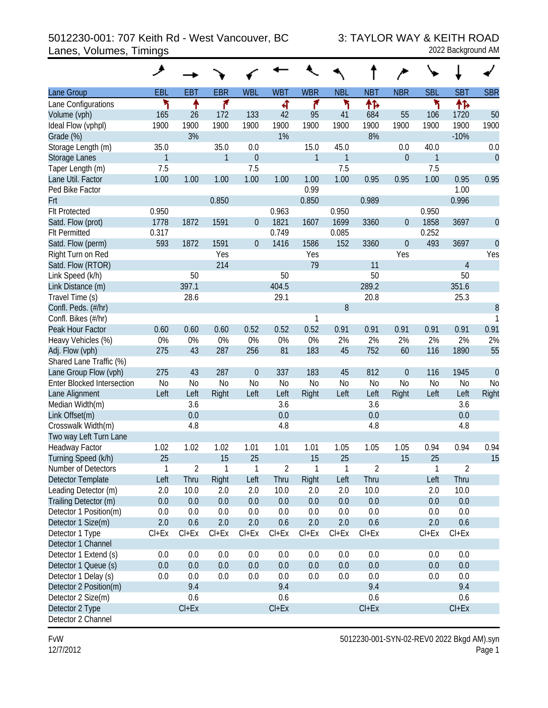# 5012230-001: 707 Keith Rd - West Vancouver, BC 3: TAYLOR WAY & KEITH ROAD<br>2022 Background AM Lanes, Volumes, Timings

| Lane Group                        | EBL            | <b>EBT</b>     | <b>EBR</b>     | <b>WBL</b>     | <b>WBT</b>     | <b>WBR</b>     | <b>NBL</b>     | <b>NBT</b>     | <b>NBR</b>     | <b>SBL</b>   | <b>SBT</b>     | <b>SBR</b>     |
|-----------------------------------|----------------|----------------|----------------|----------------|----------------|----------------|----------------|----------------|----------------|--------------|----------------|----------------|
| Lane Configurations               | ۲              | ٠              | ۴              |                | 4              | ۴              | ۲              | 怍              |                | ۲            | ቶኈ             |                |
| Volume (vph)                      | 165            | 26             | 172            | 133            | 42             | 95             | 41             | 684            | 55             | 106          | 1720           | 50             |
| Ideal Flow (vphpl)                | 1900           | 1900           | 1900           | 1900           | 1900           | 1900           | 1900           | 1900           | 1900           | 1900         | 1900           | 1900           |
| Grade (%)                         |                | 3%             |                |                | 1%             |                |                | 8%             |                |              | $-10%$         |                |
| Storage Length (m)                | 35.0           |                | 35.0           | 0.0            |                | 15.0           | 45.0           |                | 0.0            | 40.0         |                | 0.0            |
| <b>Storage Lanes</b>              | $\mathbf{1}$   |                | $\mathbf{1}$   | $\theta$       |                | $\mathbf{1}$   | $\mathbf{1}$   |                | $\theta$       | $\mathbf{1}$ |                | $\mathbf{0}$   |
| Taper Length (m)                  | 7.5            |                |                | 7.5            |                |                | 7.5            |                |                | 7.5          |                |                |
| Lane Util. Factor                 | 1.00           | 1.00           | 1.00           | 1.00           | 1.00           | 1.00           | 1.00           | 0.95           | 0.95           | 1.00         | 0.95           | 0.95           |
| Ped Bike Factor                   |                |                |                |                |                | 0.99           |                |                |                |              | 1.00           |                |
| Frt                               |                |                | 0.850          |                |                | 0.850          |                | 0.989          |                |              | 0.996          |                |
| <b>Flt Protected</b>              | 0.950          |                |                |                | 0.963          |                | 0.950          |                |                | 0.950        |                |                |
| Satd. Flow (prot)                 | 1778           | 1872           | 1591           | $\theta$       | 1821           | 1607           | 1699           | 3360           | $\theta$       | 1858         | 3697           | $\mathbf 0$    |
| <b>Flt Permitted</b>              | 0.317          |                |                |                | 0.749          |                | 0.085          |                |                | 0.252        |                |                |
| Satd. Flow (perm)                 | 593            | 1872           | 1591           | $\theta$       | 1416           | 1586           | 152            | 3360           | $\overline{0}$ | 493          | 3697           | $\mathbf 0$    |
| Right Turn on Red                 |                |                | Yes            |                |                | Yes            |                |                | Yes            |              |                | Yes            |
| Satd. Flow (RTOR)                 |                |                | 214            |                |                | 79             |                | 11             |                |              | $\sqrt{4}$     |                |
| Link Speed (k/h)                  |                | 50             |                |                | 50             |                |                | 50             |                |              | 50             |                |
| Link Distance (m)                 |                | 397.1          |                |                | 404.5          |                |                | 289.2          |                |              | 351.6          |                |
| Travel Time (s)                   |                | 28.6           |                |                | 29.1           |                |                | 20.8           |                |              | 25.3           |                |
| Confl. Peds. (#/hr)               |                |                |                |                |                |                | 8              |                |                |              |                | 8              |
| Confl. Bikes (#/hr)               |                |                |                |                |                | 1              |                |                |                |              |                | 1              |
| Peak Hour Factor                  | 0.60           | 0.60           | 0.60           | 0.52           | 0.52           | 0.52           | 0.91           | 0.91           | 0.91           | 0.91         | 0.91           | 0.91           |
| Heavy Vehicles (%)                | 0%             | 0%             | 0%             | 0%             | 0%             | 0%             | 2%             | 2%             | 2%             | 2%           | 2%             | 2%             |
| Adj. Flow (vph)                   | 275            | 43             | 287            | 256            | 81             | 183            | 45             | 752            | 60             | 116          | 1890           | 55             |
| Shared Lane Traffic (%)           |                |                |                |                |                |                |                |                |                |              |                |                |
| Lane Group Flow (vph)             | 275            | 43             | 287            | $\theta$       | 337            | 183            | 45             | 812            | $\theta$       | 116          | 1945           | $\mathbf 0$    |
| <b>Enter Blocked Intersection</b> | N <sub>o</sub> | N <sub>0</sub> | N <sub>0</sub> | N <sub>0</sub> | N <sub>o</sub> | N <sub>o</sub> | N <sub>0</sub> | N <sub>o</sub> | N <sub>0</sub> | <b>No</b>    | N <sub>0</sub> | N <sub>0</sub> |
| Lane Alignment                    | Left           | Left           | Right          | Left           | Left           | Right          | Left           | Left           | Right          | Left         | Left           | Right          |
| Median Width(m)                   |                | 3.6            |                |                | 3.6            |                |                | 3.6            |                |              | 3.6            |                |
| Link Offset(m)                    |                | 0.0            |                |                | 0.0            |                |                | 0.0            |                |              | 0.0            |                |
| Crosswalk Width(m)                |                | 4.8            |                |                | 4.8            |                |                | 4.8            |                |              | 4.8            |                |
| Two way Left Turn Lane            |                |                |                |                |                |                |                |                |                |              |                |                |
| Headway Factor                    | 1.02           | 1.02           | 1.02           | 1.01           | 1.01           | 1.01           | 1.05           | 1.05           | 1.05           | 0.94         | 0.94           | 0.94           |
| Turning Speed (k/h)               | 25             |                | 15             | 25             |                | 15             | 25             |                | 15             | 25           |                | 15             |
| Number of Detectors               | 1              | 2              |                | 1              | 2              | 1              | 1              | 2              |                | 1            | 2              |                |
| <b>Detector Template</b>          | Left           | Thru           | Right          | Left           | Thru           | Right          | Left           | Thru           |                | Left         | Thru           |                |
| Leading Detector (m)              | 2.0            | 10.0           | 2.0            | 2.0            | 10.0           | 2.0            | 2.0            | 10.0           |                | 2.0          | 10.0           |                |
| Trailing Detector (m)             | 0.0            | 0.0            | 0.0            | 0.0            | 0.0            | 0.0            | 0.0            | 0.0            |                | 0.0          | 0.0            |                |
| Detector 1 Position(m)            | 0.0            | 0.0            | 0.0            | 0.0            | 0.0            | 0.0            | 0.0            | 0.0            |                | 0.0          | 0.0            |                |
| Detector 1 Size(m)                | 2.0            | 0.6            | 2.0            | 2.0            | 0.6            | 2.0            | 2.0            | 0.6            |                | 2.0          | 0.6            |                |
| Detector 1 Type                   | $Cl + Ex$      | $Cl + Ex$      | $Cl + Ex$      | $Cl + Ex$      | $Cl + Ex$      | $Cl + Ex$      | $Cl + Ex$      | $Cl + Ex$      |                | $Cl + Ex$    | $Cl + Ex$      |                |
| Detector 1 Channel                |                |                |                |                |                |                |                |                |                |              |                |                |
| Detector 1 Extend (s)             | 0.0            | 0.0            | 0.0            | 0.0            | 0.0            | 0.0            | 0.0            | 0.0            |                | 0.0          | 0.0            |                |
| Detector 1 Queue (s)              | 0.0            | 0.0            | 0.0            | 0.0            | 0.0            | 0.0            | 0.0            | 0.0            |                | 0.0          | 0.0            |                |
| Detector 1 Delay (s)              | 0.0            | 0.0            | 0.0            | 0.0            | 0.0            | 0.0            | 0.0            | 0.0            |                | 0.0          | 0.0            |                |
| Detector 2 Position(m)            |                | 9.4            |                |                | 9.4            |                |                | 9.4            |                |              | 9.4            |                |
| Detector 2 Size(m)                |                | 0.6            |                |                | 0.6            |                |                | 0.6            |                |              | 0.6            |                |
| Detector 2 Type                   |                | $Cl + Ex$      |                |                | $Cl + Ex$      |                |                | $Cl + Ex$      |                |              | $Cl + Ex$      |                |
| Detector 2 Channel                |                |                |                |                |                |                |                |                |                |              |                |                |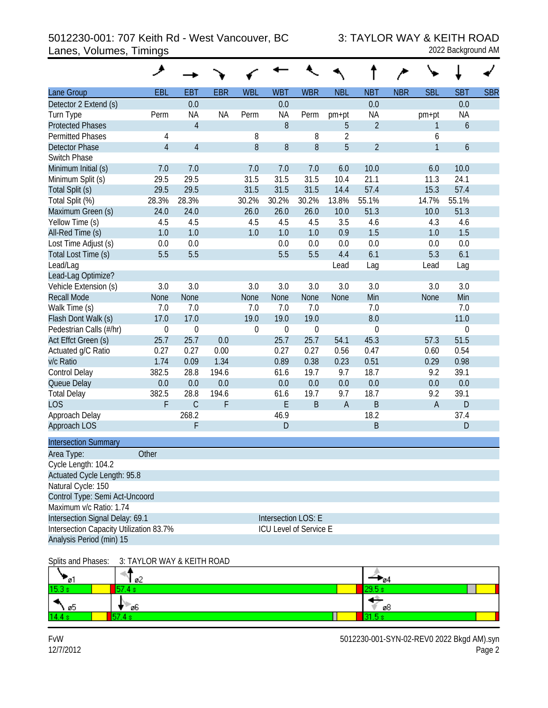# 5012230-001: 707 Keith Rd - West Vancouver, BC 3: TAYLOR WAY & KEITH ROAD Lanes, Volumes, Timings 2022 Background AM

|                                         | حر               |                |            |             |                        |                  |                |                  |            |             |                  |            |
|-----------------------------------------|------------------|----------------|------------|-------------|------------------------|------------------|----------------|------------------|------------|-------------|------------------|------------|
| Lane Group                              | EBL              | <b>EBT</b>     | <b>EBR</b> | <b>WBL</b>  | <b>WBT</b>             | <b>WBR</b>       | <b>NBL</b>     | <b>NBT</b>       | <b>NBR</b> | <b>SBL</b>  | <b>SBT</b>       | <b>SBR</b> |
| Detector 2 Extend (s)                   |                  | 0.0            |            |             | 0.0                    |                  |                | 0.0              |            |             | 0.0              |            |
| Turn Type                               | Perm             | ΝA             | ΝA         | Perm        | NA                     | Perm             | pm+pt          | ΝA               |            | pm+pt       | ΝA               |            |
| <b>Protected Phases</b>                 |                  | $\overline{4}$ |            |             | 8                      |                  | 5              | $\overline{2}$   |            | 1           | 6                |            |
| <b>Permitted Phases</b>                 | 4                |                |            | 8           |                        | 8                | $\overline{2}$ |                  |            | 6           |                  |            |
| <b>Detector Phase</b>                   | $\overline{4}$   | $\overline{4}$ |            | $\, 8$      | $8\,$                  | 8                | 5              | $\overline{2}$   |            | 1           | 6                |            |
| Switch Phase                            |                  |                |            |             |                        |                  |                |                  |            |             |                  |            |
| Minimum Initial (s)                     | 7.0              | 7.0            |            | 7.0         | 7.0                    | 7.0              | 6.0            | 10.0             |            | 6.0         | 10.0             |            |
| Minimum Split (s)                       | 29.5             | 29.5           |            | 31.5        | 31.5                   | 31.5             | 10.4           | 21.1             |            | 11.3        | 24.1             |            |
| Total Split (s)                         | 29.5             | 29.5           |            | 31.5        | 31.5                   | 31.5             | 14.4           | 57.4             |            | 15.3        | 57.4             |            |
| Total Split (%)                         | 28.3%            | 28.3%          |            | 30.2%       | 30.2%                  | 30.2%            | 13.8%          | 55.1%            |            | 14.7%       | 55.1%            |            |
| Maximum Green (s)                       | 24.0             | 24.0           |            | 26.0        | 26.0                   | 26.0             | 10.0           | 51.3             |            | 10.0        | 51.3             |            |
| Yellow Time (s)                         | 4.5              | 4.5            |            | 4.5         | 4.5                    | 4.5              | 3.5            | 4.6              |            | 4.3         | 4.6              |            |
| All-Red Time (s)                        | 1.0              | 1.0            |            | 1.0         | 1.0                    | 1.0              | 0.9            | 1.5              |            | 1.0         | 1.5              |            |
| Lost Time Adjust (s)                    | 0.0              | 0.0            |            |             | 0.0                    | 0.0              | 0.0            | 0.0              |            | 0.0         | 0.0              |            |
| Total Lost Time (s)                     | 5.5              | 5.5            |            |             | 5.5                    | 5.5              | 4.4            | 6.1              |            | 5.3         | 6.1              |            |
| Lead/Lag                                |                  |                |            |             |                        |                  | Lead           | Lag              |            | Lead        | Lag              |            |
| Lead-Lag Optimize?                      |                  |                |            |             |                        |                  |                |                  |            |             |                  |            |
| Vehicle Extension (s)                   | 3.0              | 3.0            |            | 3.0         | 3.0                    | 3.0              | 3.0            | 3.0              |            | 3.0         | 3.0              |            |
| <b>Recall Mode</b>                      | None             | None           |            | None        | None                   | None             | None           | Min              |            | None        | Min              |            |
| Walk Time (s)                           | 7.0              | 7.0            |            | 7.0         | 7.0                    | 7.0              |                | 7.0              |            |             | 7.0              |            |
| Flash Dont Walk (s)                     | 17.0             | 17.0           |            | 19.0        | 19.0                   | 19.0             |                | 8.0              |            |             | 11.0             |            |
| Pedestrian Calls (#/hr)                 | $\boldsymbol{0}$ | $\mathbf 0$    |            | $\mathbf 0$ | 0                      | $\boldsymbol{0}$ |                | $\boldsymbol{0}$ |            |             | $\boldsymbol{0}$ |            |
| Act Effct Green (s)                     | 25.7             | 25.7           | 0.0        |             | 25.7                   | 25.7             | 54.1           | 45.3             |            | 57.3        | 51.5             |            |
| Actuated g/C Ratio                      | 0.27             | 0.27           | 0.00       |             | 0.27                   | 0.27             | 0.56           | 0.47             |            | 0.60        | 0.54             |            |
| v/c Ratio                               | 1.74             | 0.09           | 1.34       |             | 0.89                   | 0.38             | 0.23           | 0.51             |            | 0.29        | 0.98             |            |
| Control Delay                           | 382.5            | 28.8           | 194.6      |             | 61.6                   | 19.7             | 9.7            | 18.7             |            | 9.2         | 39.1             |            |
| Queue Delay                             | 0.0              | 0.0            | 0.0        |             | 0.0                    | 0.0              | 0.0            | 0.0              |            | 0.0         | 0.0              |            |
| <b>Total Delay</b>                      | 382.5            | 28.8           | 194.6      |             | 61.6                   | 19.7             | 9.7            | 18.7             |            | 9.2         | 39.1             |            |
| <b>LOS</b>                              | F                | $\mathsf C$    | F          |             | E                      | $\sf B$          | $\mathsf A$    | B                |            | $\mathsf A$ | D                |            |
| Approach Delay                          |                  | 268.2          |            |             | 46.9                   |                  |                | 18.2             |            |             | 37.4             |            |
| Approach LOS                            |                  | F              |            |             | $\mathsf{D}$           |                  |                | B                |            |             | D                |            |
| <b>Intersection Summary</b>             |                  |                |            |             |                        |                  |                |                  |            |             |                  |            |
| Area Type:                              | Other            |                |            |             |                        |                  |                |                  |            |             |                  |            |
| Cycle Length: 104.2                     |                  |                |            |             |                        |                  |                |                  |            |             |                  |            |
| Actuated Cycle Length: 95.8             |                  |                |            |             |                        |                  |                |                  |            |             |                  |            |
| Natural Cycle: 150                      |                  |                |            |             |                        |                  |                |                  |            |             |                  |            |
| Control Type: Semi Act-Uncoord          |                  |                |            |             |                        |                  |                |                  |            |             |                  |            |
| Maximum v/c Ratio: 1.74                 |                  |                |            |             |                        |                  |                |                  |            |             |                  |            |
| Intersection Signal Delay: 69.1         |                  |                |            |             | Intersection LOS: E    |                  |                |                  |            |             |                  |            |
| Intersection Capacity Utilization 83.7% |                  |                |            |             | ICU Level of Service E |                  |                |                  |            |             |                  |            |
| Analysis Period (min) 15                |                  |                |            |             |                        |                  |                |                  |            |             |                  |            |
|                                         |                  |                |            |             |                        |                  |                |                  |            |             |                  |            |

#### Splits and Phases: 3: TAYLOR WAY & KEITH ROAD

| . .    | ø2             | $-\sigma_0$ 4 |
|--------|----------------|---------------|
| 15.3 s |                | ----          |
| 1 O.J  | ø6.<br>. т. е. | ø8            |
| 14.4 s |                |               |

FvW 5012230-001-SYN-02-REV0 2022 Bkgd AM).syn 12/7/2012 Page 2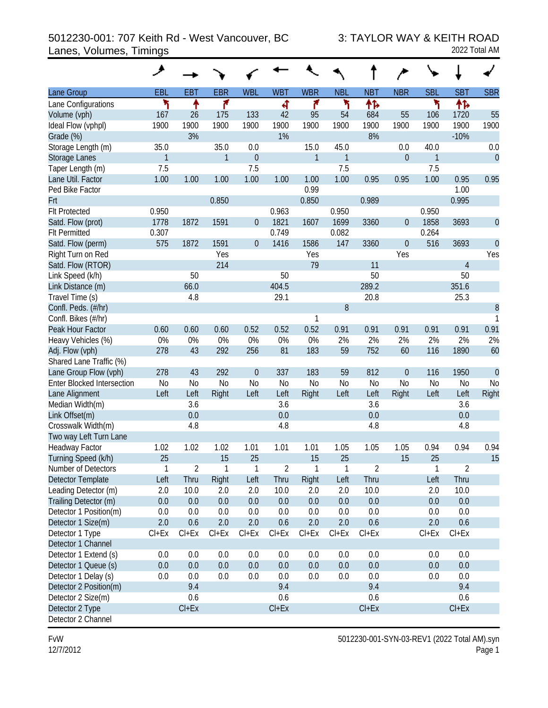# 5012230-001: 707 Keith Rd - West Vancouver, BC 3: TAYLOR WAY & KEITH ROAD Lanes, Volumes, Timings 2022 Total AM

|                                   | ◢         |                |                |                |            |                |                |                |                  |                |                |                |
|-----------------------------------|-----------|----------------|----------------|----------------|------------|----------------|----------------|----------------|------------------|----------------|----------------|----------------|
| Lane Group                        | EBL       | <b>EBT</b>     | <b>EBR</b>     | <b>WBL</b>     | <b>WBT</b> | <b>WBR</b>     | <b>NBL</b>     | <b>NBT</b>     | <b>NBR</b>       | <b>SBL</b>     | <b>SBT</b>     | <b>SBR</b>     |
| Lane Configurations               | ۲         | ↟              | ۴              |                | 4          | ۴              | ۲              | 怍              |                  | ۲              | 怍              |                |
| Volume (vph)                      | 167       | 26             | 175            | 133            | 42         | 95             | 54             | 684            | 55               | 106            | 1720           | 55             |
| Ideal Flow (vphpl)                | 1900      | 1900           | 1900           | 1900           | 1900       | 1900           | 1900           | 1900           | 1900             | 1900           | 1900           | 1900           |
| Grade (%)                         |           | 3%             |                |                | 1%         |                |                | 8%             |                  |                | $-10%$         |                |
| Storage Length (m)                | 35.0      |                | 35.0           | 0.0            |            | 15.0           | 45.0           |                | 0.0              | 40.0           |                | $0.0\,$        |
| Storage Lanes                     | 1         |                | $\mathbf{1}$   | $\theta$       |            | 1              | $\mathbf{1}$   |                | $\mathbf 0$      | 1              |                | $\overline{0}$ |
| Taper Length (m)                  | 7.5       |                |                | 7.5            |            |                | 7.5            |                |                  | 7.5            |                |                |
| Lane Util. Factor                 | 1.00      | 1.00           | 1.00           | 1.00           | 1.00       | 1.00           | 1.00           | 0.95           | 0.95             | 1.00           | 0.95           | 0.95           |
| Ped Bike Factor                   |           |                |                |                |            | 0.99           |                |                |                  |                | 1.00           |                |
| Frt                               |           |                | 0.850          |                |            | 0.850          |                | 0.989          |                  |                | 0.995          |                |
| <b>Flt Protected</b>              | 0.950     |                |                |                | 0.963      |                | 0.950          |                |                  | 0.950          |                |                |
| Satd. Flow (prot)                 | 1778      | 1872           | 1591           | $\mathbf 0$    | 1821       | 1607           | 1699           | 3360           | $\boldsymbol{0}$ | 1858           | 3693           | $\mathbf 0$    |
| <b>Flt Permitted</b>              | 0.307     |                |                |                | 0.749      |                | 0.082          |                |                  | 0.264          |                |                |
| Satd. Flow (perm)                 | 575       | 1872           | 1591           | $\theta$       | 1416       | 1586           | 147            | 3360           | $\boldsymbol{0}$ | 516            | 3693           | $\overline{0}$ |
| Right Turn on Red                 |           |                | Yes            |                |            | Yes            |                |                | Yes              |                |                | Yes            |
| Satd. Flow (RTOR)                 |           |                | 214            |                |            | 79             |                | 11             |                  |                | $\overline{4}$ |                |
| Link Speed (k/h)                  |           | 50             |                |                | 50         |                |                | 50             |                  |                | 50             |                |
| Link Distance (m)                 |           | 66.0           |                |                | 404.5      |                |                | 289.2          |                  |                | 351.6          |                |
| Travel Time (s)                   |           | 4.8            |                |                | 29.1       |                |                | 20.8           |                  |                | 25.3           |                |
| Confl. Peds. (#/hr)               |           |                |                |                |            |                | 8              |                |                  |                |                | $\, 8$         |
| Confl. Bikes (#/hr)               |           |                |                |                |            | 1              |                |                |                  |                |                | 1              |
| Peak Hour Factor                  | 0.60      | 0.60           | 0.60           | 0.52           | 0.52       | 0.52           | 0.91           | 0.91           | 0.91             | 0.91           | 0.91           | 0.91           |
| Heavy Vehicles (%)                | 0%        | 0%             | 0%             | 0%             | 0%         | 0%             | 2%             | 2%             | 2%               | 2%             | 2%             | 2%             |
| Adj. Flow (vph)                   | 278       | 43             | 292            | 256            | 81         | 183            | 59             | 752            | 60               | 116            | 1890           | 60             |
| Shared Lane Traffic (%)           |           |                |                |                |            |                |                |                |                  |                |                |                |
| Lane Group Flow (vph)             | 278       | 43             | 292            | $\theta$       | 337        | 183            | 59             | 812            | $\boldsymbol{0}$ | 116            | 1950           | $\overline{0}$ |
| <b>Enter Blocked Intersection</b> | No        | N <sub>o</sub> | N <sub>0</sub> | N <sub>o</sub> | <b>No</b>  | N <sub>o</sub> | N <sub>o</sub> | <b>No</b>      | N <sub>0</sub>   | N <sub>0</sub> | N <sub>0</sub> | No             |
| Lane Alignment                    | Left      | Left           | Right          | Left           | Left       | Right          | Left           | Left           | Right            | Left           | Left           | Right          |
| Median Width(m)                   |           | 3.6            |                |                | 3.6        |                |                | 3.6            |                  |                | 3.6            |                |
| Link Offset(m)                    |           | 0.0            |                |                | 0.0        |                |                | 0.0            |                  |                | 0.0            |                |
| Crosswalk Width(m)                |           | 4.8            |                |                | 4.8        |                |                | 4.8            |                  |                | 4.8            |                |
| Two way Left Turn Lane            |           |                |                |                |            |                |                |                |                  |                |                |                |
| <b>Headway Factor</b>             | 1.02      | 1.02           | 1.02           | 1.01           | 1.01       | 1.01           | 1.05           | 1.05           | 1.05             | 0.94           | 0.94           | 0.94           |
| Turning Speed (k/h)               | 25        |                | 15             | 25             |            | 15             | 25             |                | 15               | 25             |                | 15             |
| Number of Detectors               | 1         | $\overline{2}$ | 1              | 1              | 2          | 1              | 1              | $\overline{2}$ |                  | 1              | $\overline{2}$ |                |
| Detector Template                 | Left      | Thru           | Right          | Left           | Thru       | Right          | Left           | Thru           |                  | Left           | Thru           |                |
| Leading Detector (m)              | 2.0       | 10.0           | 2.0            | 2.0            | 10.0       | 2.0            | 2.0            | 10.0           |                  | 2.0            | 10.0           |                |
| Trailing Detector (m)             | 0.0       | 0.0            | 0.0            | 0.0            | 0.0        | 0.0            | 0.0            | 0.0            |                  | 0.0            | 0.0            |                |
| Detector 1 Position(m)            | 0.0       | 0.0            | 0.0            | 0.0            | 0.0        | 0.0            | 0.0            | 0.0            |                  | 0.0            | 0.0            |                |
| Detector 1 Size(m)                | 2.0       | 0.6            | 2.0            | 2.0            | 0.6        | 2.0            | 2.0            | 0.6            |                  | 2.0            | 0.6            |                |
| Detector 1 Type                   | $Cl + Ex$ | $Cl + Ex$      | $Cl + Ex$      | $Cl + Ex$      | $Cl + Ex$  | $Cl + Ex$      | $Cl + Ex$      | $Cl + Ex$      |                  | $Cl + Ex$      | $Cl + Ex$      |                |
| Detector 1 Channel                |           |                |                |                |            |                |                |                |                  |                |                |                |
| Detector 1 Extend (s)             | 0.0       | 0.0            | 0.0            | 0.0            | 0.0        | 0.0            | 0.0            | 0.0            |                  | 0.0            | 0.0            |                |
| Detector 1 Queue (s)              | 0.0       | 0.0            | 0.0            | 0.0            | 0.0        | 0.0            | 0.0            | 0.0            |                  | 0.0            | 0.0            |                |
| Detector 1 Delay (s)              | 0.0       | 0.0            | 0.0            | 0.0            | 0.0        | 0.0            | 0.0            | 0.0            |                  | 0.0            | 0.0            |                |
| Detector 2 Position(m)            |           | 9.4            |                |                | 9.4        |                |                | 9.4            |                  |                | 9.4            |                |
| Detector 2 Size(m)                |           | 0.6            |                |                | 0.6        |                |                | 0.6            |                  |                | 0.6            |                |
| Detector 2 Type                   |           | $Cl + Ex$      |                |                | $Cl + Ex$  |                |                | $Cl + Ex$      |                  |                | $Cl + Ex$      |                |
| Detector 2 Channel                |           |                |                |                |            |                |                |                |                  |                |                |                |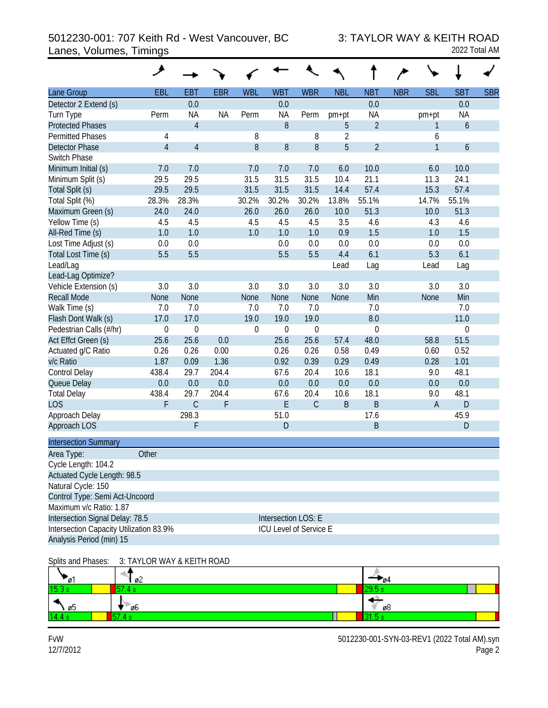# 5012230-001: 707 Keith Rd - West Vancouver, BC 3: TAYLOR WAY & KEITH ROAD Lanes, Volumes, Timings 2022 Total AM

| Lane Group                              | <b>EBL</b>       | <b>EBT</b>     | <b>EBR</b> | <b>WBL</b>       | <b>WBT</b>             | <b>WBR</b>  | <b>NBL</b>     | <b>NBT</b>     | <b>NBR</b> | <b>SBL</b>     | <b>SBT</b> | <b>SBR</b> |
|-----------------------------------------|------------------|----------------|------------|------------------|------------------------|-------------|----------------|----------------|------------|----------------|------------|------------|
| Detector 2 Extend (s)                   |                  | 0.0            |            |                  | 0.0                    |             |                | 0.0            |            |                | 0.0        |            |
| Turn Type                               | Perm             | <b>NA</b>      | <b>NA</b>  | Perm             | <b>NA</b>              | Perm        | pm+pt          | <b>NA</b>      |            | pm+pt          | <b>NA</b>  |            |
| <b>Protected Phases</b>                 |                  | $\overline{4}$ |            |                  | 8                      |             | 5              | $\overline{2}$ |            | 1              | 6          |            |
| <b>Permitted Phases</b>                 | 4                |                |            | 8                |                        | 8           | $\overline{2}$ |                |            | 6              |            |            |
| <b>Detector Phase</b>                   | $\overline{4}$   | $\overline{4}$ |            | 8                | 8                      | 8           | 5              | $\overline{2}$ |            | $\mathbf{1}$   | 6          |            |
| Switch Phase                            |                  |                |            |                  |                        |             |                |                |            |                |            |            |
| Minimum Initial (s)                     | 7.0              | 7.0            |            | 7.0              | 7.0                    | 7.0         | 6.0            | 10.0           |            | 6.0            | 10.0       |            |
| Minimum Split (s)                       | 29.5             | 29.5           |            | 31.5             | 31.5                   | 31.5        | 10.4           | 21.1           |            | 11.3           | 24.1       |            |
| Total Split (s)                         | 29.5             | 29.5           |            | 31.5             | 31.5                   | 31.5        | 14.4           | 57.4           |            | 15.3           | 57.4       |            |
| Total Split (%)                         | 28.3%            | 28.3%          |            | 30.2%            | 30.2%                  | 30.2%       | 13.8%          | 55.1%          |            | 14.7%          | 55.1%      |            |
| Maximum Green (s)                       | 24.0             | 24.0           |            | 26.0             | 26.0                   | 26.0        | 10.0           | 51.3           |            | 10.0           | 51.3       |            |
| Yellow Time (s)                         | 4.5              | 4.5            |            | 4.5              | 4.5                    | 4.5         | 3.5            | 4.6            |            | 4.3            | 4.6        |            |
| All-Red Time (s)                        | 1.0              | 1.0            |            | 1.0              | 1.0                    | 1.0         | 0.9            | 1.5            |            | 1.0            | 1.5        |            |
| Lost Time Adjust (s)                    | 0.0              | 0.0            |            |                  | 0.0                    | 0.0         | 0.0            | 0.0            |            | 0.0            | 0.0        |            |
| Total Lost Time (s)                     | 5.5              | 5.5            |            |                  | 5.5                    | 5.5         | 4.4            | 6.1            |            | 5.3            | 6.1        |            |
| Lead/Lag                                |                  |                |            |                  |                        |             | Lead           | Lag            |            | Lead           | Lag        |            |
| Lead-Lag Optimize?                      |                  |                |            |                  |                        |             |                |                |            |                |            |            |
| Vehicle Extension (s)                   | 3.0              | 3.0            |            | 3.0              | 3.0                    | 3.0         | 3.0            | 3.0            |            | 3.0            | 3.0        |            |
| <b>Recall Mode</b>                      | None             | None           |            | None             | None                   | None        | None           | Min            |            | None           | Min        |            |
| Walk Time (s)                           | 7.0              | 7.0            |            | 7.0              | 7.0                    | 7.0         |                | 7.0            |            |                | 7.0        |            |
| Flash Dont Walk (s)                     | 17.0             | 17.0           |            | 19.0             | 19.0                   | 19.0        |                | 8.0            |            |                | 11.0       |            |
| Pedestrian Calls (#/hr)                 | $\boldsymbol{0}$ | $\mathbf 0$    |            | $\boldsymbol{0}$ | 0                      | $\mathbf 0$ |                | $\mathbf 0$    |            |                | 0          |            |
| Act Effct Green (s)                     | 25.6             | 25.6           | 0.0        |                  | 25.6                   | 25.6        | 57.4           | 48.0           |            | 58.8           | 51.5       |            |
| Actuated g/C Ratio                      | 0.26             | 0.26           | 0.00       |                  | 0.26                   | 0.26        | 0.58           | 0.49           |            | 0.60           | 0.52       |            |
| v/c Ratio                               | 1.87             | 0.09           | 1.36       |                  | 0.92                   | 0.39        | 0.29           | 0.49           |            | 0.28           | 1.01       |            |
| Control Delay                           | 438.4            | 29.7           | 204.4      |                  | 67.6                   | 20.4        | 10.6           | 18.1           |            | 9.0            | 48.1       |            |
| Queue Delay                             | 0.0              | 0.0            | 0.0        |                  | 0.0                    | 0.0         | 0.0            | 0.0            |            | 0.0            | 0.0        |            |
| <b>Total Delay</b>                      | 438.4            | 29.7           | 204.4      |                  | 67.6                   | 20.4        | 10.6           | 18.1           |            | 9.0            | 48.1       |            |
| <b>LOS</b>                              | F                | $\mathsf C$    | F          |                  | E                      | $\mathsf C$ | B              | B              |            | $\overline{A}$ | D          |            |
| Approach Delay                          |                  | 298.3          |            |                  | 51.0                   |             |                | 17.6           |            |                | 45.9       |            |
| Approach LOS                            |                  | F              |            |                  | $\mathsf D$            |             |                | B              |            |                | D          |            |
| <b>Intersection Summary</b>             |                  |                |            |                  |                        |             |                |                |            |                |            |            |
| Area Type:                              | Other            |                |            |                  |                        |             |                |                |            |                |            |            |
| Cycle Length: 104.2                     |                  |                |            |                  |                        |             |                |                |            |                |            |            |
| Actuated Cycle Length: 98.5             |                  |                |            |                  |                        |             |                |                |            |                |            |            |
| Natural Cycle: 150                      |                  |                |            |                  |                        |             |                |                |            |                |            |            |
| Control Type: Semi Act-Uncoord          |                  |                |            |                  |                        |             |                |                |            |                |            |            |
| Maximum v/c Ratio: 1.87                 |                  |                |            |                  |                        |             |                |                |            |                |            |            |
| Intersection Signal Delay: 78.5         |                  |                |            |                  | Intersection LOS: E    |             |                |                |            |                |            |            |
| Intersection Capacity Utilization 83.9% |                  |                |            |                  | ICU Level of Service E |             |                |                |            |                |            |            |
| Analysis Period (min) 15                |                  |                |            |                  |                        |             |                |                |            |                |            |            |

Splits and Phases: 3: TAYLOR WAY & KEITH ROAD

| . .<br>‴øï. | ø2  | ‴ø4                           |
|-------------|-----|-------------------------------|
| 15.3 s      | --  | $\overline{\phantom{0}}$<br>. |
| ×<br>ነ ወ5   | "ø6 | ø8                            |
| 14.4 s      |     |                               |

FvW 5012230-001-SYN-03-REV1 (2022 Total AM).syn 12/7/2012 Page 2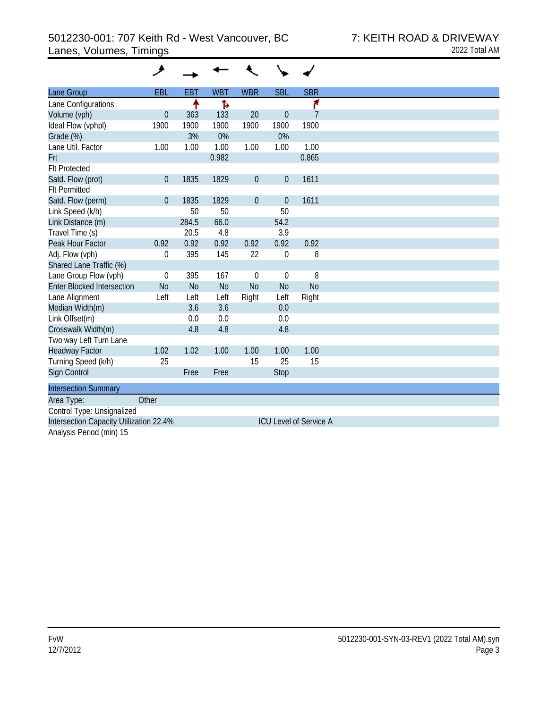| Lane Group                              | <b>EBL</b>     | EBT       | <b>WBT</b> | <b>WBR</b>   | <b>SBL</b>     | <b>SBR</b>                    |
|-----------------------------------------|----------------|-----------|------------|--------------|----------------|-------------------------------|
| Lane Configurations                     |                | ↟         | ħ          |              |                | ۴                             |
| Volume (vph)                            | $\theta$       | 363       | 133        | 20           | $\Omega$       | 7                             |
| Ideal Flow (vphpl)                      | 1900           | 1900      | 1900       | 1900         | 1900           | 1900                          |
| Grade (%)                               |                | 3%        | 0%         |              | 0%             |                               |
| Lane Util. Factor                       | 1.00           | 1.00      | 1.00       | 1.00         | 1.00           | 1.00                          |
| Frt                                     |                |           | 0.982      |              |                | 0.865                         |
| <b>Flt Protected</b>                    |                |           |            |              |                |                               |
| Satd. Flow (prot)                       | $\mathbf{0}$   | 1835      | 1829       | $\theta$     | $\theta$       | 1611                          |
| <b>Flt Permitted</b>                    |                |           |            |              |                |                               |
| Satd. Flow (perm)                       | $\mathbf{0}$   | 1835      | 1829       | $\mathbf{0}$ | $\theta$       | 1611                          |
| Link Speed (k/h)                        |                | 50        | 50         |              | 50             |                               |
| Link Distance (m)                       |                | 284.5     | 66.0       |              | 54.2           |                               |
| Travel Time (s)                         |                | 20.5      | 4.8        |              | 3.9            |                               |
| Peak Hour Factor                        | 0.92           | 0.92      | 0.92       | 0.92         | 0.92           | 0.92                          |
| Adj. Flow (vph)                         | 0              | 395       | 145        | 22           | $\mathbf 0$    | 8                             |
| Shared Lane Traffic (%)                 |                |           |            |              |                |                               |
| Lane Group Flow (vph)                   | 0              | 395       | 167        | $\mathbf 0$  | $\mathbf 0$    | 8                             |
| <b>Enter Blocked Intersection</b>       | N <sub>o</sub> | <b>No</b> | <b>No</b>  | <b>No</b>    | N <sub>o</sub> | N <sub>o</sub>                |
| Lane Alignment                          | Left           | Left      | Left       | Right        | Left           | Right                         |
| Median Width(m)                         |                | 3.6       | 3.6        |              | 0.0            |                               |
| Link Offset(m)                          |                | 0.0       | 0.0        |              | 0.0            |                               |
| Crosswalk Width(m)                      |                | 4.8       | 4.8        |              | 4.8            |                               |
| Two way Left Turn Lane                  |                |           |            |              |                |                               |
| <b>Headway Factor</b>                   | 1.02           | 1.02      | 1.00       | 1.00         | 1.00           | 1.00                          |
| Turning Speed (k/h)                     | 25             |           |            | 15           | 25             | 15                            |
| Sign Control                            |                | Free      | Free       |              | Stop           |                               |
| <b>Intersection Summary</b>             |                |           |            |              |                |                               |
| Area Type:                              | Other          |           |            |              |                |                               |
| Control Type: Unsignalized              |                |           |            |              |                |                               |
| Intersection Capacity Utilization 22.4% |                |           |            |              |                | <b>ICU Level of Service A</b> |

Analysis Period (min) 15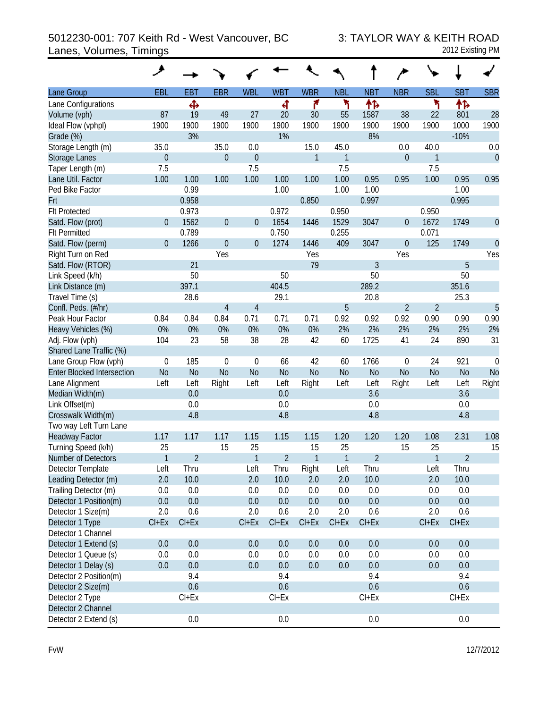# 5012230-001: 707 Keith Rd - West Vancouver, BC 3: TAYLOR WAY & KEITH ROAD Lanes, Volumes, Timings

| 2012 Existing PM |
|------------------|
|------------------|

|                                                  | ◢                |                |                  |                |                      |                |              |                |                  |                |                |                  |
|--------------------------------------------------|------------------|----------------|------------------|----------------|----------------------|----------------|--------------|----------------|------------------|----------------|----------------|------------------|
| Lane Group                                       | EBL              | <b>EBT</b>     | <b>EBR</b>       | <b>WBL</b>     | <b>WBT</b>           | <b>WBR</b>     | <b>NBL</b>   | <b>NBT</b>     | <b>NBR</b>       | <b>SBL</b>     | <b>SBT</b>     | <b>SBR</b>       |
| Lane Configurations                              |                  | Ф              |                  |                | 4                    | ۴              | ۲            | ቶኈ             |                  | ۲              | ተኈ             |                  |
| Volume (vph)                                     | 87               | 19             | 49               | 27             | 20                   | 30             | 55           | 1587           | 38               | 22             | 801            | 28               |
| Ideal Flow (vphpl)                               | 1900             | 1900           | 1900             | 1900           | 1900                 | 1900           | 1900         | 1900           | 1900             | 1900           | 1000           | 1900             |
| Grade (%)                                        |                  | 3%             |                  |                | 1%                   |                |              | 8%             |                  |                | $-10%$         |                  |
| Storage Length (m)                               | 35.0             |                | 35.0             | 0.0            |                      | 15.0           | 45.0         |                | 0.0              | 40.0           |                | 0.0              |
| <b>Storage Lanes</b>                             | $\boldsymbol{0}$ |                | $\theta$         | $\mathbf{0}$   |                      | 1              | 1            |                | $\theta$         | 1              |                | $\theta$         |
| Taper Length (m)                                 | 7.5              |                |                  | 7.5            |                      |                | 7.5          |                |                  | 7.5            |                |                  |
| Lane Util. Factor                                | 1.00             | 1.00           | 1.00             | 1.00           | 1.00                 | 1.00           | 1.00         | 0.95           | 0.95             | 1.00           | 0.95           | 0.95             |
| Ped Bike Factor                                  |                  | 0.99           |                  |                | 1.00                 |                | 1.00         | 1.00           |                  |                | 1.00           |                  |
| Frt                                              |                  | 0.958          |                  |                |                      | 0.850          |              | 0.997          |                  |                | 0.995          |                  |
| <b>Flt Protected</b>                             |                  | 0.973          |                  |                | 0.972                |                | 0.950        |                |                  | 0.950          |                |                  |
| Satd. Flow (prot)                                | $\overline{0}$   | 1562           | $\boldsymbol{0}$ | $\overline{0}$ | 1654                 | 1446           | 1529         | 3047           | $\boldsymbol{0}$ | 1672           | 1749           | $\boldsymbol{0}$ |
| <b>FIt Permitted</b>                             |                  | 0.789          |                  |                | 0.750                |                | 0.255        |                |                  | 0.071          |                |                  |
| Satd. Flow (perm)                                | $\overline{0}$   | 1266           | $\boldsymbol{0}$ | $\theta$       | 1274                 | 1446           | 409          | 3047           | $\theta$         | 125            | 1749           | $\mathbf{0}$     |
| Right Turn on Red                                |                  |                | Yes              |                |                      | Yes            |              |                | Yes              |                |                | Yes              |
| Satd. Flow (RTOR)                                |                  | 21             |                  |                |                      | 79             |              | 3              |                  |                | 5              |                  |
| Link Speed (k/h)                                 |                  | 50             |                  |                | 50                   |                |              | 50             |                  |                | 50             |                  |
| Link Distance (m)                                |                  | 397.1          |                  |                | 404.5                |                |              | 289.2          |                  |                | 351.6          |                  |
| Travel Time (s)                                  |                  | 28.6           |                  |                | 29.1                 |                |              | 20.8           |                  |                | 25.3           |                  |
| Confl. Peds. (#/hr)                              |                  |                | $\overline{4}$   | 4              |                      |                | 5            |                | $\overline{2}$   | $\overline{2}$ |                | 5                |
| Peak Hour Factor                                 | 0.84             | 0.84           | 0.84             | 0.71           | 0.71                 | 0.71           | 0.92         | 0.92           | 0.92             | 0.90           | 0.90           | 0.90             |
| Heavy Vehicles (%)                               | 0%               | 0%             | 0%               | 0%             | 0%                   | 0%             | 2%           | 2%             | 2%               | 2%             | 2%             | 2%               |
| Adj. Flow (vph)                                  | 104              | 23             | 58               | 38             | 28                   | 42             | 60           | 1725           | 41               | 24             | 890            | 31               |
| Shared Lane Traffic (%)<br>Lane Group Flow (vph) | $\mathbf 0$      | 185            | $\theta$         | $\theta$       |                      | 42             | 60           | 1766           | $\mathbf 0$      | 24             | 921            | $\mathbf 0$      |
| <b>Enter Blocked Intersection</b>                | N <sub>o</sub>   | N <sub>o</sub> | <b>No</b>        | <b>No</b>      | 66<br>N <sub>o</sub> | N <sub>o</sub> | <b>No</b>    | <b>No</b>      | N <sub>o</sub>   | N <sub>o</sub> | N <sub>o</sub> | <b>No</b>        |
| Lane Alignment                                   | Left             | Left           | Right            | Left           | Left                 | Right          | Left         | Left           |                  | Left           | Left           | Right            |
| Median Width(m)                                  |                  | 0.0            |                  |                | 0.0                  |                |              | 3.6            | Right            |                | 3.6            |                  |
| Link Offset(m)                                   |                  | 0.0            |                  |                | 0.0                  |                |              | 0.0            |                  |                | 0.0            |                  |
| Crosswalk Width(m)                               |                  | 4.8            |                  |                | 4.8                  |                |              | 4.8            |                  |                | 4.8            |                  |
| Two way Left Turn Lane                           |                  |                |                  |                |                      |                |              |                |                  |                |                |                  |
| <b>Headway Factor</b>                            | 1.17             | 1.17           | 1.17             | 1.15           | 1.15                 | 1.15           | 1.20         | 1.20           | 1.20             | 1.08           | 2.31           | 1.08             |
| Turning Speed (k/h)                              | 25               |                | 15               | 25             |                      | 15             | 25           |                | 15               | 25             |                | 15               |
| Number of Detectors                              | $\mathbf{1}$     | $\overline{2}$ |                  | 1              | $\overline{2}$       | 1              | $\mathbf{1}$ | $\overline{2}$ |                  | $\mathbf{1}$   | $\overline{2}$ |                  |
| Detector Template                                | Left             | Thru           |                  | Left           | Thru                 | Right          | Left         | Thru           |                  | Left           | Thru           |                  |
| Leading Detector (m)                             | 2.0              | 10.0           |                  | 2.0            | 10.0                 | 2.0            | 2.0          | 10.0           |                  | 2.0            | 10.0           |                  |
| Trailing Detector (m)                            | 0.0              | 0.0            |                  | 0.0            | 0.0                  | 0.0            | 0.0          | 0.0            |                  | 0.0            | 0.0            |                  |
| Detector 1 Position(m)                           | 0.0              | 0.0            |                  | 0.0            | 0.0                  | 0.0            | 0.0          | 0.0            |                  | 0.0            | 0.0            |                  |
| Detector 1 Size(m)                               | 2.0              | 0.6            |                  | 2.0            | 0.6                  | 2.0            | 2.0          | 0.6            |                  | 2.0            | 0.6            |                  |
| Detector 1 Type                                  | $Cl + Ex$        | $Cl + Ex$      |                  | $Cl + Ex$      | $Cl + Ex$            | $Cl + Ex$      | $Cl + Ex$    | $Cl + Ex$      |                  | $Cl + Ex$      | $Cl + Ex$      |                  |
| Detector 1 Channel                               |                  |                |                  |                |                      |                |              |                |                  |                |                |                  |
| Detector 1 Extend (s)                            | 0.0              | 0.0            |                  | 0.0            | 0.0                  | 0.0            | 0.0          | 0.0            |                  | 0.0            | 0.0            |                  |
| Detector 1 Queue (s)                             | 0.0              | 0.0            |                  | 0.0            | 0.0                  | 0.0            | 0.0          | 0.0            |                  | 0.0            | 0.0            |                  |
| Detector 1 Delay (s)                             | 0.0              | 0.0            |                  | 0.0            | 0.0                  | 0.0            | 0.0          | 0.0            |                  | 0.0            | 0.0            |                  |
| Detector 2 Position(m)                           |                  | 9.4            |                  |                | 9.4                  |                |              | 9.4            |                  |                | 9.4            |                  |
| Detector 2 Size(m)                               |                  | 0.6            |                  |                | 0.6                  |                |              | 0.6            |                  |                | 0.6            |                  |
| Detector 2 Type                                  |                  | $Cl + Ex$      |                  |                | $Cl + Ex$            |                |              | $Cl + Ex$      |                  |                | $Cl + Ex$      |                  |
| Detector 2 Channel                               |                  |                |                  |                |                      |                |              |                |                  |                |                |                  |
| Detector 2 Extend (s)                            |                  | 0.0            |                  |                | 0.0                  |                |              | 0.0            |                  |                | 0.0            |                  |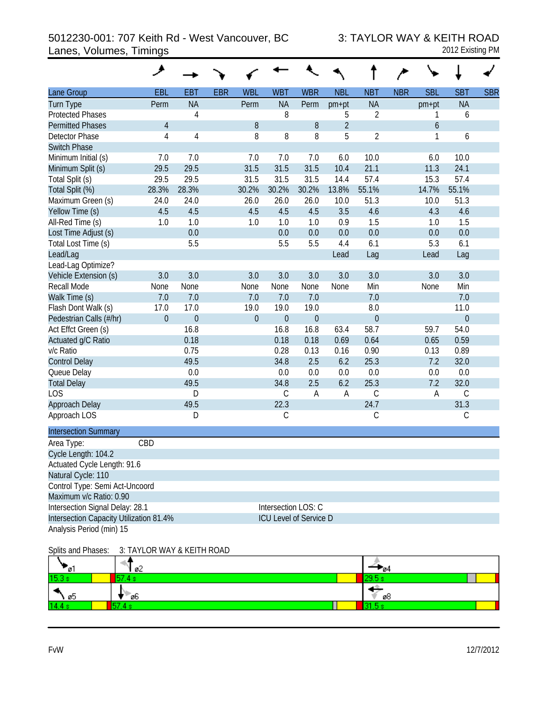# 5012230-001: 707 Keith Rd - West Vancouver, BC 3: TAYLOR WAY & KEITH ROAD<br>2012 Existing PM 3012 Existing PM Lanes, Volumes, Timings

|                                         | ◢                          |                  |            |                  |                               |                  |                |                  |            |            |                |            |
|-----------------------------------------|----------------------------|------------------|------------|------------------|-------------------------------|------------------|----------------|------------------|------------|------------|----------------|------------|
| Lane Group                              | <b>EBL</b>                 | <b>EBT</b>       | <b>EBR</b> | <b>WBL</b>       | <b>WBT</b>                    | <b>WBR</b>       | <b>NBL</b>     | <b>NBT</b>       | <b>NBR</b> | <b>SBL</b> | <b>SBT</b>     | <b>SBR</b> |
| <b>Turn Type</b>                        | Perm                       | <b>NA</b>        |            | Perm             | <b>NA</b>                     | Perm             | $pm+pt$        | <b>NA</b>        |            | pm+pt      | <b>NA</b>      |            |
| <b>Protected Phases</b>                 |                            | 4                |            |                  | 8                             |                  | 5              | $\overline{2}$   |            | 1          | 6              |            |
| <b>Permitted Phases</b>                 | $\overline{4}$             |                  |            | $8\,$            |                               | $8\,$            | $\overline{2}$ |                  |            | 6          |                |            |
| Detector Phase                          | $\overline{4}$             | $\overline{4}$   |            | 8                | 8                             | 8                | 5              | $\overline{2}$   |            | 1          | 6              |            |
| <b>Switch Phase</b>                     |                            |                  |            |                  |                               |                  |                |                  |            |            |                |            |
| Minimum Initial (s)                     | 7.0                        | 7.0              |            | 7.0              | 7.0                           | 7.0              | 6.0            | 10.0             |            | 6.0        | 10.0           |            |
| Minimum Split (s)                       | 29.5                       | 29.5             |            | 31.5             | 31.5                          | 31.5             | 10.4           | 21.1             |            | 11.3       | 24.1           |            |
| Total Split (s)                         | 29.5                       | 29.5             |            | 31.5             | 31.5                          | 31.5             | 14.4           | 57.4             |            | 15.3       | 57.4           |            |
| Total Split (%)                         | 28.3%                      | 28.3%            |            | 30.2%            | 30.2%                         | 30.2%            | 13.8%          | 55.1%            |            | 14.7%      | 55.1%          |            |
| Maximum Green (s)                       | 24.0                       | 24.0             |            | 26.0             | 26.0                          | 26.0             | 10.0           | 51.3             |            | 10.0       | 51.3           |            |
| Yellow Time (s)                         | 4.5                        | 4.5              |            | 4.5              | 4.5                           | 4.5              | 3.5            | 4.6              |            | 4.3        | 4.6            |            |
| All-Red Time (s)                        | 1.0                        | 1.0              |            | 1.0              | 1.0                           | 1.0              | 0.9            | 1.5              |            | 1.0        | 1.5            |            |
| Lost Time Adjust (s)                    |                            | 0.0              |            |                  | 0.0                           | 0.0              | 0.0            | 0.0              |            | 0.0        | 0.0            |            |
| Total Lost Time (s)                     |                            | 5.5              |            |                  | 5.5                           | 5.5              | 4.4            | 6.1              |            | 5.3        | 6.1            |            |
| Lead/Lag                                |                            |                  |            |                  |                               |                  | Lead           | Lag              |            | Lead       | Lag            |            |
| Lead-Lag Optimize?                      |                            |                  |            |                  |                               |                  |                |                  |            |            |                |            |
| Vehicle Extension (s)                   | 3.0                        | 3.0              |            | 3.0              | 3.0                           | 3.0              | 3.0            | 3.0              |            | 3.0        | 3.0            |            |
| Recall Mode                             | None                       | None             |            | None             | None                          | None             | None           | Min              |            | None       | Min            |            |
| Walk Time (s)                           | 7.0                        | 7.0              |            | 7.0              | 7.0                           | 7.0              |                | 7.0              |            |            | 7.0            |            |
| Flash Dont Walk (s)                     | 17.0                       | 17.0             |            | 19.0             | 19.0                          | 19.0             |                | 8.0              |            |            | 11.0           |            |
| Pedestrian Calls (#/hr)                 | $\overline{0}$             | $\boldsymbol{0}$ |            | $\boldsymbol{0}$ | $\boldsymbol{0}$              | $\boldsymbol{0}$ |                | $\boldsymbol{0}$ |            |            | $\overline{0}$ |            |
| Act Effct Green (s)                     |                            | 16.8             |            |                  | 16.8                          | 16.8             | 63.4           | 58.7             |            | 59.7       | 54.0           |            |
| Actuated g/C Ratio                      |                            | 0.18             |            |                  | 0.18                          | 0.18             | 0.69           | 0.64             |            | 0.65       | 0.59           |            |
| v/c Ratio                               |                            | 0.75             |            |                  | 0.28                          | 0.13             | 0.16           | 0.90             |            | 0.13       | 0.89           |            |
| <b>Control Delay</b>                    |                            | 49.5             |            |                  | 34.8                          | 2.5              | 6.2            | 25.3             |            | 7.2        | 32.0           |            |
| Queue Delay                             |                            | 0.0              |            |                  | 0.0                           | 0.0              | 0.0            | 0.0              |            | 0.0        | 0.0            |            |
| <b>Total Delay</b>                      |                            | 49.5             |            |                  | 34.8                          | 2.5              | 6.2            | 25.3             |            | 7.2        | 32.0           |            |
| LOS                                     |                            | D                |            |                  | $\mathsf C$                   | A                | $\mathsf A$    | $\mathsf C$      |            | A          | $\mathbb C$    |            |
| Approach Delay                          |                            | 49.5             |            |                  | 22.3                          |                  |                | 24.7             |            |            | 31.3           |            |
| Approach LOS                            |                            | D                |            |                  | $\mathsf C$                   |                  |                | $\mathsf C$      |            |            | $\mathsf C$    |            |
| <b>Intersection Summary</b>             |                            |                  |            |                  |                               |                  |                |                  |            |            |                |            |
| Area Type:                              | CBD                        |                  |            |                  |                               |                  |                |                  |            |            |                |            |
| Cycle Length: 104.2                     |                            |                  |            |                  |                               |                  |                |                  |            |            |                |            |
| Actuated Cycle Length: 91.6             |                            |                  |            |                  |                               |                  |                |                  |            |            |                |            |
| Natural Cycle: 110                      |                            |                  |            |                  |                               |                  |                |                  |            |            |                |            |
| Control Type: Semi Act-Uncoord          |                            |                  |            |                  |                               |                  |                |                  |            |            |                |            |
| Maximum v/c Ratio: 0.90                 |                            |                  |            |                  |                               |                  |                |                  |            |            |                |            |
| Intersection Signal Delay: 28.1         |                            |                  |            |                  | Intersection LOS: C           |                  |                |                  |            |            |                |            |
| Intersection Capacity Utilization 81.4% |                            |                  |            |                  | <b>ICU Level of Service D</b> |                  |                |                  |            |            |                |            |
| Analysis Period (min) 15                |                            |                  |            |                  |                               |                  |                |                  |            |            |                |            |
| Splits and Phases:                      | 3: TAYLOR WAY & KEITH ROAD |                  |            |                  |                               |                  |                |                  |            |            |                |            |
|                                         |                            |                  |            |                  |                               |                  |                |                  |            |            |                |            |

| øΙ     | -<br>øZ | ‴ø4 |
|--------|---------|-----|
| 15.3 s | --      | . . |
| ነ ወጋ   | "ø6     | ø8  |
| 14.4   |         |     |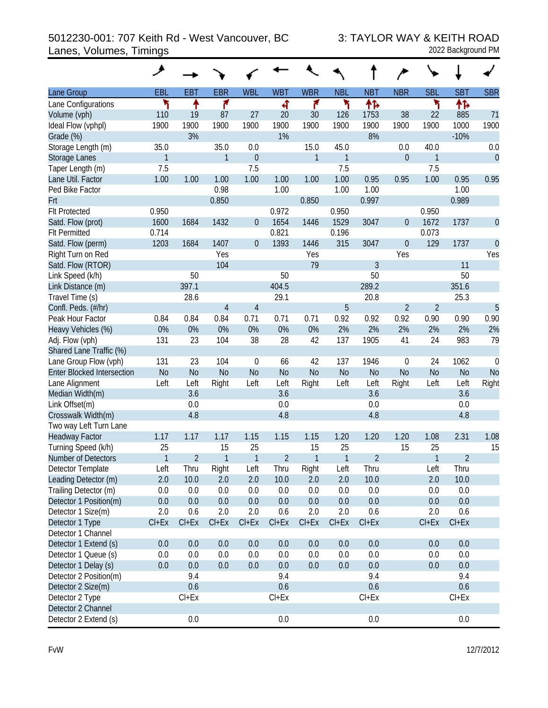# 5012230-001: 707 Keith Rd - West Vancouver, BC 3: TAYLOR WAY & KEITH ROAD<br>2022 Background PM Lanes, Volumes, Timings

| Lane Group                                                 | EBL            | <b>EBT</b>     | <b>EBR</b>            | <b>WBL</b>                    | <b>WBT</b>     | <b>WBR</b>     | <b>NBL</b>       | <b>NBT</b>     | <b>NBR</b>       | <b>SBL</b>     | <b>SBT</b>             | <b>SBR</b>     |
|------------------------------------------------------------|----------------|----------------|-----------------------|-------------------------------|----------------|----------------|------------------|----------------|------------------|----------------|------------------------|----------------|
| Lane Configurations                                        | ۲              | ↟              | ۴                     |                               | बी             | ۴              | ۲                | 怍              |                  | ۲              | ቶኈ                     |                |
| Volume (vph)                                               | 110            | 19             | 87                    | 27                            | 20             | 30             | 126              | 1753           | 38               | 22             | 885                    | 71             |
| Ideal Flow (vphpl)                                         | 1900           | 1900           | 1900                  | 1900                          | 1900           | 1900           | 1900             | 1900           | 1900             | 1900           | 1000                   | 1900           |
| Grade (%)                                                  |                | 3%             |                       |                               | 1%             |                |                  | 8%             |                  |                | $-10%$                 |                |
| Storage Length (m)                                         | 35.0           |                | 35.0                  | 0.0                           |                | 15.0           | 45.0             |                | 0.0              | 40.0           |                        | 0.0            |
| <b>Storage Lanes</b>                                       | $\mathbf{1}$   |                | $\mathbf{1}$          | $\theta$                      |                | $\mathbf{1}$   | $\mathbf{1}$     |                | $\mathbf{0}$     | $\mathbf{1}$   |                        | $\overline{0}$ |
| Taper Length (m)                                           | 7.5            |                |                       | 7.5                           |                |                | 7.5              |                |                  | 7.5            |                        |                |
| Lane Util. Factor                                          | 1.00           | 1.00           | 1.00                  | 1.00                          | 1.00           | 1.00           | 1.00             | 0.95           | 0.95             | 1.00           | 0.95                   | 0.95           |
| Ped Bike Factor                                            |                |                | 0.98                  |                               | 1.00           |                | 1.00             | 1.00           |                  |                | 1.00                   |                |
| Frt                                                        |                |                | 0.850                 |                               |                | 0.850          |                  | 0.997          |                  |                | 0.989                  |                |
| <b>Flt Protected</b>                                       | 0.950          |                |                       |                               | 0.972          |                | 0.950            |                |                  | 0.950          |                        |                |
| Satd. Flow (prot)                                          | 1600           | 1684           | 1432                  | $\theta$                      | 1654           | 1446           | 1529             | 3047           | $\boldsymbol{0}$ | 1672           | 1737                   | $\overline{0}$ |
| <b>Flt Permitted</b>                                       | 0.714          |                |                       |                               | 0.821          |                | 0.196            |                |                  | 0.073          |                        |                |
| Satd. Flow (perm)                                          | 1203           | 1684           | 1407                  | $\theta$                      | 1393           | 1446           | 315              | 3047           | $\mathbf 0$      | 129            | 1737                   | $\overline{0}$ |
| Right Turn on Red                                          |                |                | Yes                   |                               |                | Yes            |                  |                | Yes              |                |                        | Yes            |
| Satd. Flow (RTOR)                                          |                |                | 104                   |                               |                | 79             |                  | 3              |                  |                | 11                     |                |
| Link Speed (k/h)                                           |                | 50             |                       |                               | 50             |                |                  | 50             |                  |                | 50                     |                |
| Link Distance (m)                                          |                | 397.1          |                       |                               | 404.5          |                |                  | 289.2          |                  |                | 351.6                  |                |
| Travel Time (s)                                            |                | 28.6           |                       |                               | 29.1           |                |                  | 20.8           |                  |                | 25.3                   |                |
| Confl. Peds. (#/hr)                                        |                |                | $\overline{4}$        | $\overline{4}$                |                |                | 5                |                | $\overline{2}$   | $\overline{2}$ |                        | 5              |
| Peak Hour Factor                                           | 0.84           | 0.84           | 0.84                  | 0.71                          | 0.71           | 0.71           | 0.92             | 0.92           | 0.92             | 0.90           | 0.90                   | 0.90           |
| Heavy Vehicles (%)                                         | 0%             | 0%             | 0%                    | 0%                            | 0%             | 0%             | 2%               | 2%             | 2%               | 2%             | 2%                     | 2%             |
| Adj. Flow (vph)                                            | 131            | 23             | 104                   | 38                            | 28             | 42             | 137              | 1905           | 41               | 24             | 983                    | 79             |
| Shared Lane Traffic (%)                                    | 131            | 23             |                       |                               | 66             | 42             |                  | 1946           |                  | 24             |                        |                |
| Lane Group Flow (vph)<br><b>Enter Blocked Intersection</b> | N <sub>o</sub> | N <sub>o</sub> | 104<br>N <sub>o</sub> | $\mathbf 0$<br>N <sub>o</sub> | N <sub>o</sub> | N <sub>o</sub> | 137<br><b>No</b> | N <sub>o</sub> | 0<br><b>No</b>   | <b>No</b>      | 1062<br>N <sub>o</sub> | $\mathbf 0$    |
|                                                            | Left           | Left           |                       | Left                          | Left           |                | Left             | Left           |                  | Left           | Left                   | N <sub>o</sub> |
| Lane Alignment<br>Median Width(m)                          |                | 3.6            | Right                 |                               | 3.6            | Right          |                  | 3.6            | Right            |                | 3.6                    | Right          |
| Link Offset(m)                                             |                | 0.0            |                       |                               | 0.0            |                |                  | 0.0            |                  |                | 0.0                    |                |
| Crosswalk Width(m)                                         |                | 4.8            |                       |                               | 4.8            |                |                  | 4.8            |                  |                | 4.8                    |                |
| Two way Left Turn Lane                                     |                |                |                       |                               |                |                |                  |                |                  |                |                        |                |
| <b>Headway Factor</b>                                      | 1.17           | 1.17           | 1.17                  | 1.15                          | 1.15           | 1.15           | 1.20             | 1.20           | 1.20             | 1.08           | 2.31                   | 1.08           |
| Turning Speed (k/h)                                        | 25             |                | 15                    | 25                            |                | 15             | 25               |                | 15               | 25             |                        | 15             |
| <b>Number of Detectors</b>                                 | $\mathbf{1}$   | $\overline{2}$ | $\mathbf{1}$          | $\mathbf{1}$                  | $\overline{2}$ | $\mathbf{1}$   | $\mathbf{1}$     | $\overline{2}$ |                  | $\mathbf{1}$   | $\overline{2}$         |                |
| Detector Template                                          | Left           | Thru           | Right                 | Left                          | Thru           | Right          | Left             | Thru           |                  | Left           | Thru                   |                |
| Leading Detector (m)                                       | 2.0            | 10.0           | 2.0                   | 2.0                           | 10.0           | 2.0            | 2.0              | 10.0           |                  | 2.0            | 10.0                   |                |
| Trailing Detector (m)                                      | 0.0            | 0.0            | 0.0                   | 0.0                           | 0.0            | 0.0            | 0.0              | 0.0            |                  | 0.0            | 0.0                    |                |
| Detector 1 Position(m)                                     | 0.0            | 0.0            | 0.0                   | 0.0                           | 0.0            | 0.0            | 0.0              | 0.0            |                  | 0.0            | 0.0                    |                |
| Detector 1 Size(m)                                         | 2.0            | 0.6            | 2.0                   | 2.0                           | 0.6            | 2.0            | 2.0              | 0.6            |                  | 2.0            | 0.6                    |                |
| Detector 1 Type                                            | $Cl + Ex$      | $Cl + Ex$      | $Cl + Ex$             | $Cl + Ex$                     | $Cl + Ex$      | $Cl + Ex$      | $Cl + Ex$        | $Cl + Ex$      |                  | $Cl + Ex$      | $Cl + Ex$              |                |
| Detector 1 Channel                                         |                |                |                       |                               |                |                |                  |                |                  |                |                        |                |
| Detector 1 Extend (s)                                      | 0.0            | 0.0            | 0.0                   | 0.0                           | 0.0            | 0.0            | 0.0              | 0.0            |                  | 0.0            | 0.0                    |                |
| Detector 1 Queue (s)                                       | 0.0            | 0.0            | 0.0                   | 0.0                           | 0.0            | 0.0            | 0.0              | 0.0            |                  | 0.0            | 0.0                    |                |
| Detector 1 Delay (s)                                       | 0.0            | 0.0            | 0.0                   | 0.0                           | 0.0            | 0.0            | 0.0              | 0.0            |                  | 0.0            | 0.0                    |                |
| Detector 2 Position(m)                                     |                | 9.4            |                       |                               | 9.4            |                |                  | 9.4            |                  |                | 9.4                    |                |
| Detector 2 Size(m)                                         |                | 0.6            |                       |                               | 0.6            |                |                  | 0.6            |                  |                | 0.6                    |                |
| Detector 2 Type                                            |                | $Cl + Ex$      |                       |                               | $Cl + Ex$      |                |                  | $Cl + Ex$      |                  |                | $Cl + Ex$              |                |
| Detector 2 Channel                                         |                |                |                       |                               |                |                |                  |                |                  |                |                        |                |
| Detector 2 Extend (s)                                      |                | 0.0            |                       |                               | 0.0            |                |                  | 0.0            |                  |                | 0.0                    |                |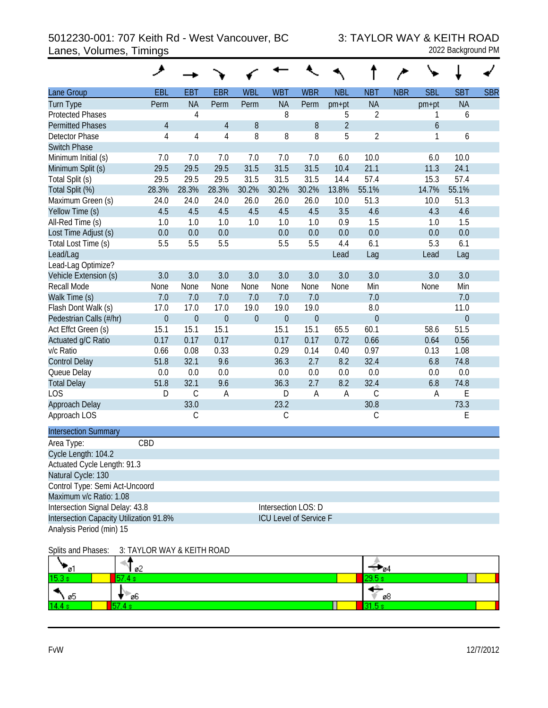# 5012230-001: 707 Keith Rd - West Vancouver, BC 3: TAYLOR WAY & KEITH ROAD<br>2022 Background PM Lanes, Volumes, Timings

| Lane Group                              | EBL                        | <b>EBT</b>       | <b>EBR</b>     | <b>WBL</b>       | <b>WBT</b>             | <b>WBR</b>       | <b>NBL</b>     | <b>NBT</b>       | <b>NBR</b> | <b>SBL</b>   | <b>SBT</b>       | <b>SBR</b> |
|-----------------------------------------|----------------------------|------------------|----------------|------------------|------------------------|------------------|----------------|------------------|------------|--------------|------------------|------------|
| Turn Type                               | Perm                       | <b>NA</b>        | Perm           | Perm             | <b>NA</b>              | Perm             | pm+pt          | <b>NA</b>        |            | pm+pt        | <b>NA</b>        |            |
| <b>Protected Phases</b>                 |                            | 4                |                |                  | 8                      |                  | 5              | $\overline{2}$   |            | 1            | 6                |            |
| <b>Permitted Phases</b>                 | $\overline{4}$             |                  | $\overline{4}$ | $\, 8$           |                        | 8                | $\overline{2}$ |                  |            | 6            |                  |            |
| Detector Phase                          | $\overline{4}$             | 4                | $\overline{4}$ | 8                | 8                      | 8                | 5              | $\sqrt{2}$       |            | $\mathbf{1}$ | 6                |            |
| <b>Switch Phase</b>                     |                            |                  |                |                  |                        |                  |                |                  |            |              |                  |            |
| Minimum Initial (s)                     | 7.0                        | 7.0              | 7.0            | 7.0              | 7.0                    | 7.0              | 6.0            | 10.0             |            | 6.0          | 10.0             |            |
| Minimum Split (s)                       | 29.5                       | 29.5             | 29.5           | 31.5             | 31.5                   | 31.5             | 10.4           | 21.1             |            | 11.3         | 24.1             |            |
| Total Split (s)                         | 29.5                       | 29.5             | 29.5           | 31.5             | 31.5                   | 31.5             | 14.4           | 57.4             |            | 15.3         | 57.4             |            |
| Total Split (%)                         | 28.3%                      | 28.3%            | 28.3%          | 30.2%            | 30.2%                  | 30.2%            | 13.8%          | 55.1%            |            | 14.7%        | 55.1%            |            |
| Maximum Green (s)                       | 24.0                       | 24.0             | 24.0           | 26.0             | 26.0                   | 26.0             | 10.0           | 51.3             |            | 10.0         | 51.3             |            |
| Yellow Time (s)                         | 4.5                        | 4.5              | 4.5            | 4.5              | 4.5                    | 4.5              | 3.5            | 4.6              |            | 4.3          | 4.6              |            |
| All-Red Time (s)                        | 1.0                        | 1.0              | 1.0            | 1.0              | 1.0                    | 1.0              | 0.9            | 1.5              |            | 1.0          | 1.5              |            |
| Lost Time Adjust (s)                    | 0.0                        | 0.0              | 0.0            |                  | 0.0                    | 0.0              | 0.0            | 0.0              |            | 0.0          | 0.0              |            |
| Total Lost Time (s)                     | 5.5                        | 5.5              | 5.5            |                  | 5.5                    | 5.5              | 4.4            | 6.1              |            | 5.3          | 6.1              |            |
| Lead/Lag                                |                            |                  |                |                  |                        |                  | Lead           | Lag              |            | Lead         | Lag              |            |
| Lead-Lag Optimize?                      |                            |                  |                |                  |                        |                  |                |                  |            |              |                  |            |
| Vehicle Extension (s)                   | 3.0                        | 3.0              | 3.0            | 3.0              | 3.0                    | 3.0              | 3.0            | 3.0              |            | 3.0          | 3.0              |            |
| Recall Mode                             | None                       | None             | None           | None             | None                   | None             | None           | Min              |            | None         | Min              |            |
| Walk Time (s)                           | 7.0                        | 7.0              | 7.0            | 7.0              | 7.0                    | 7.0              |                | 7.0              |            |              | 7.0              |            |
| Flash Dont Walk (s)                     | 17.0                       | 17.0             | 17.0           | 19.0             | 19.0                   | 19.0             |                | 8.0              |            |              | 11.0             |            |
| Pedestrian Calls (#/hr)                 | $\boldsymbol{0}$           | $\boldsymbol{0}$ | $\theta$       | $\boldsymbol{0}$ | $\boldsymbol{0}$       | $\boldsymbol{0}$ |                | $\boldsymbol{0}$ |            |              | $\boldsymbol{0}$ |            |
| Act Effct Green (s)                     | 15.1                       | 15.1             | 15.1           |                  | 15.1                   | 15.1             | 65.5           | 60.1             |            | 58.6         | 51.5             |            |
| Actuated g/C Ratio                      | 0.17                       | 0.17             | 0.17           |                  | 0.17                   | 0.17             | 0.72           | 0.66             |            | 0.64         | 0.56             |            |
| v/c Ratio                               | 0.66                       | 0.08             | 0.33           |                  | 0.29                   | 0.14             | 0.40           | 0.97             |            | 0.13         | 1.08             |            |
| <b>Control Delay</b>                    | 51.8                       | 32.1             | 9.6            |                  | 36.3                   | 2.7              | 8.2            | 32.4             |            | 6.8          | 74.8             |            |
| Queue Delay                             | $0.0\,$                    | 0.0              | 0.0            |                  | $0.0\,$                | 0.0              | 0.0            | 0.0              |            | 0.0          | 0.0              |            |
| <b>Total Delay</b>                      | 51.8                       | 32.1             | 9.6            |                  | 36.3                   | 2.7              | 8.2            | 32.4             |            | 6.8          | 74.8             |            |
| <b>LOS</b>                              | D                          | $\mathsf C$      | A              |                  | D                      | $\overline{A}$   | $\mathsf A$    | $\mathcal{C}$    |            | A            | E                |            |
| Approach Delay                          |                            | 33.0             |                |                  | 23.2                   |                  |                | 30.8             |            |              | 73.3             |            |
| Approach LOS                            |                            | $\mathsf C$      |                |                  | $\mathsf C$            |                  |                | $\mathsf C$      |            |              | Е                |            |
| <b>Intersection Summary</b>             |                            |                  |                |                  |                        |                  |                |                  |            |              |                  |            |
| Area Type:                              | CBD                        |                  |                |                  |                        |                  |                |                  |            |              |                  |            |
| Cycle Length: 104.2                     |                            |                  |                |                  |                        |                  |                |                  |            |              |                  |            |
| Actuated Cycle Length: 91.3             |                            |                  |                |                  |                        |                  |                |                  |            |              |                  |            |
| Natural Cycle: 130                      |                            |                  |                |                  |                        |                  |                |                  |            |              |                  |            |
| Control Type: Semi Act-Uncoord          |                            |                  |                |                  |                        |                  |                |                  |            |              |                  |            |
| Maximum v/c Ratio: 1.08                 |                            |                  |                |                  |                        |                  |                |                  |            |              |                  |            |
| Intersection Signal Delay: 43.8         |                            |                  |                |                  | Intersection LOS: D    |                  |                |                  |            |              |                  |            |
| Intersection Capacity Utilization 91.8% |                            |                  |                |                  | ICU Level of Service F |                  |                |                  |            |              |                  |            |
| Analysis Period (min) 15                |                            |                  |                |                  |                        |                  |                |                  |            |              |                  |            |
| Splits and Phases:                      | 3: TAYLOR WAY & KEITH ROAD |                  |                |                  |                        |                  |                |                  |            |              |                  |            |
|                                         |                            |                  |                |                  |                        |                  |                |                  |            |              |                  |            |

| ו ש               | ø۷  | - 04 |
|-------------------|-----|------|
| 15.3 <sub>k</sub> |     |      |
| N 05.             | Γø6 | ø8   |
| 14.4              |     |      |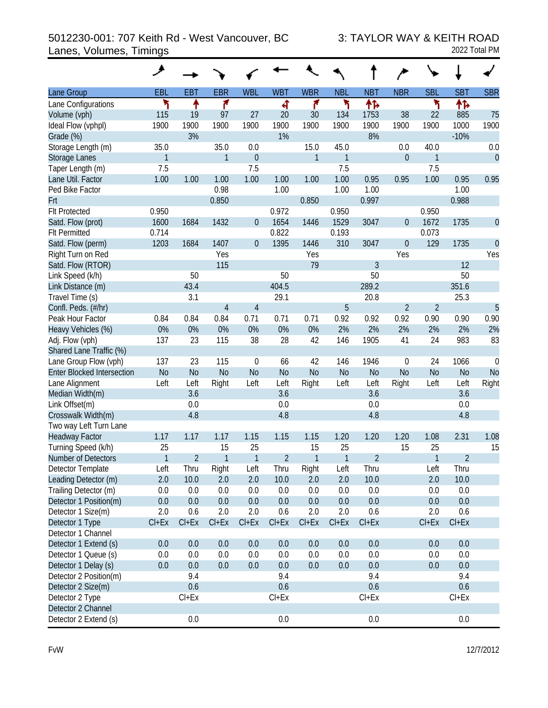# 5012230-001: 707 Keith Rd - West Vancouver, BC 3: TAYLOR WAY & KEITH ROAD Lanes, Volumes, Timings

|  | 2022 Total PM |
|--|---------------|
|--|---------------|

| Lane Group                        | <b>EBL</b>     | <b>EBT</b>     | <b>EBR</b>     | <b>WBL</b>     | <b>WBT</b>     | <b>WBR</b>   | <b>NBL</b>     | <b>NBT</b>     | <b>NBR</b>     | <b>SBL</b>     | <b>SBT</b>     | <b>SBR</b>     |
|-----------------------------------|----------------|----------------|----------------|----------------|----------------|--------------|----------------|----------------|----------------|----------------|----------------|----------------|
| Lane Configurations               | ۲              | ↟              | ۴              |                | 4              | ۴            | ۲              | 怍              |                | ۲              | ተኈ             |                |
| Volume (vph)                      | 115            | 19             | 97             | 27             | 20             | 30           | 134            | 1753           | 38             | 22             | 885            | 75             |
| Ideal Flow (vphpl)                | 1900           | 1900           | 1900           | 1900           | 1900           | 1900         | 1900           | 1900           | 1900           | 1900           | 1000           | 1900           |
| Grade (%)                         |                | 3%             |                |                | 1%             |              |                | 8%             |                |                | $-10%$         |                |
| Storage Length (m)                | 35.0           |                | 35.0           | 0.0            |                | 15.0         | 45.0           |                | 0.0            | 40.0           |                | 0.0            |
| <b>Storage Lanes</b>              | 1              |                | 1              | $\theta$       |                | $\mathbf{1}$ | 1              |                | $\mathbf{0}$   | 1              |                | $\mathbf{0}$   |
| Taper Length (m)                  | 7.5            |                |                | 7.5            |                |              | 7.5            |                |                | 7.5            |                |                |
| Lane Util. Factor                 | 1.00           | 1.00           | 1.00           | 1.00           | 1.00           | 1.00         | 1.00           | 0.95           | 0.95           | 1.00           | 0.95           | 0.95           |
| Ped Bike Factor                   |                |                | 0.98           |                | 1.00           |              | 1.00           | 1.00           |                |                | 1.00           |                |
| Frt                               |                |                | 0.850          |                |                | 0.850        |                | 0.997          |                |                | 0.988          |                |
| <b>Flt Protected</b>              | 0.950          |                |                |                | 0.972          |              | 0.950          |                |                | 0.950          |                |                |
| Satd. Flow (prot)                 | 1600           | 1684           | 1432           | $\theta$       | 1654           | 1446         | 1529           | 3047           | $\mathbf 0$    | 1672           | 1735           | $\overline{0}$ |
| <b>Flt Permitted</b>              | 0.714          |                |                |                | 0.822          |              | 0.193          |                |                | 0.073          |                |                |
| Satd. Flow (perm)                 | 1203           | 1684           | 1407           | $\theta$       | 1395           | 1446         | 310            | 3047           | $\mathbf 0$    | 129            | 1735           | $\overline{0}$ |
| Right Turn on Red                 |                |                | Yes            |                |                | Yes          |                |                | Yes            |                |                | Yes            |
| Satd. Flow (RTOR)                 |                |                | 115            |                |                | 79           |                | 3              |                |                | 12             |                |
| Link Speed (k/h)                  |                | 50             |                |                | 50             |              |                | 50             |                |                | 50             |                |
| Link Distance (m)                 |                | 43.4           |                |                | 404.5          |              |                | 289.2          |                |                | 351.6          |                |
| Travel Time (s)                   |                | 3.1            |                |                | 29.1           |              |                | 20.8           |                |                | 25.3           |                |
| Confl. Peds. (#/hr)               |                |                | $\overline{4}$ | $\overline{4}$ |                |              | 5              |                | $\overline{2}$ | $\overline{2}$ |                | 5              |
| Peak Hour Factor                  | 0.84           | 0.84           | 0.84           | 0.71           | 0.71           | 0.71         | 0.92           | 0.92           | 0.92           | 0.90           | 0.90           | 0.90           |
| Heavy Vehicles (%)                | 0%             | 0%             | 0%             | 0%             | 0%             | 0%           | 2%             | 2%             | 2%             | 2%             | 2%             | 2%             |
| Adj. Flow (vph)                   | 137            | 23             | 115            | 38             | 28             | 42           | 146            | 1905           | 41             | 24             | 983            | 83             |
| Shared Lane Traffic (%)           |                |                |                |                |                |              |                |                |                |                |                |                |
| Lane Group Flow (vph)             | 137            | 23             | 115            | $\mathbf 0$    | 66             | 42           | 146            | 1946           | $\mathbf 0$    | 24             | 1066           | $\mathbf 0$    |
| <b>Enter Blocked Intersection</b> | N <sub>o</sub> | N <sub>o</sub> | N <sub>0</sub> | N <sub>o</sub> | N <sub>o</sub> | <b>No</b>    | N <sub>o</sub> | N <sub>o</sub> | N <sub>o</sub> | N <sub>o</sub> | N <sub>o</sub> | <b>No</b>      |
| Lane Alignment                    | Left           | Left           | Right          | Left           | Left           | Right        | Left           | Left           | Right          | Left           | Left           | Right          |
| Median Width(m)                   |                | 3.6            |                |                | 3.6            |              |                | 3.6            |                |                | 3.6            |                |
| Link Offset(m)                    |                | 0.0            |                |                | 0.0            |              |                | 0.0            |                |                | 0.0            |                |
| Crosswalk Width(m)                |                | 4.8            |                |                | 4.8            |              |                | 4.8            |                |                | 4.8            |                |
| Two way Left Turn Lane            |                |                |                |                |                |              |                |                |                |                |                |                |
| <b>Headway Factor</b>             | 1.17           | 1.17           | 1.17           | 1.15           | 1.15           | 1.15         | 1.20           | 1.20           | 1.20           | 1.08           | 2.31           | 1.08           |
| Turning Speed (k/h)               | 25             |                | 15             | 25             |                | 15           | 25             |                | 15             | 25             |                | 15             |
| Number of Detectors               | $\mathbf{1}$   | $\overline{2}$ | $\mathbf{1}$   | $\mathbf{1}$   | $\overline{2}$ | $\mathbf{1}$ | $\mathbf{1}$   | $\overline{2}$ |                | $\mathbf{1}$   | $\overline{2}$ |                |
| Detector Template                 | Left           | Thru           | Right          | Left           | Thru           | Right        | Left           | Thru           |                | Left           | Thru           |                |
| Leading Detector (m)              | 2.0            | 10.0           | 2.0            | 2.0            | 10.0           | 2.0          | 2.0            | 10.0           |                | 2.0            | 10.0           |                |
| Trailing Detector (m)             | 0.0            | 0.0            | 0.0            | 0.0            | 0.0            | 0.0          | 0.0            | 0.0            |                | 0.0            | 0.0            |                |
| Detector 1 Position(m)            | 0.0            | 0.0            | 0.0            | 0.0            | 0.0            | 0.0          | 0.0            | 0.0            |                | 0.0            | 0.0            |                |
| Detector 1 Size(m)                | 2.0            | 0.6            | 2.0            | 2.0            | 0.6            | 2.0          | 2.0            | 0.6            |                | 2.0            | 0.6            |                |
| Detector 1 Type                   | $Cl + Ex$      | $Cl + Ex$      | $Cl + Ex$      | $Cl + Ex$      | $Cl + Ex$      | $Cl + Ex$    | $Cl + Ex$      | $Cl + Ex$      |                | $Cl + Ex$      | $Cl + Ex$      |                |
| Detector 1 Channel                |                |                |                |                |                |              |                |                |                |                |                |                |
| Detector 1 Extend (s)             | 0.0            | 0.0            | 0.0            | 0.0            | 0.0            | 0.0          | 0.0            | 0.0            |                | 0.0            | 0.0            |                |
| Detector 1 Queue (s)              | 0.0            | 0.0            | 0.0            | 0.0            | 0.0            | 0.0          | 0.0            | 0.0            |                | 0.0            | 0.0            |                |
| Detector 1 Delay (s)              | 0.0            | 0.0            | 0.0            | 0.0            | 0.0            | 0.0          | 0.0            | 0.0            |                | 0.0            | 0.0            |                |
| Detector 2 Position(m)            |                | 9.4            |                |                | 9.4            |              |                | 9.4            |                |                | 9.4            |                |
| Detector 2 Size(m)                |                | 0.6            |                |                | 0.6            |              |                | 0.6            |                |                | 0.6            |                |
| Detector 2 Type                   |                | $Cl + Ex$      |                |                | $Cl + Ex$      |              |                | $Cl + Ex$      |                |                | $Cl + Ex$      |                |
| Detector 2 Channel                |                |                |                |                |                |              |                |                |                |                |                |                |
| Detector 2 Extend (s)             |                | 0.0            |                |                | 0.0            |              |                | 0.0            |                |                | 0.0            |                |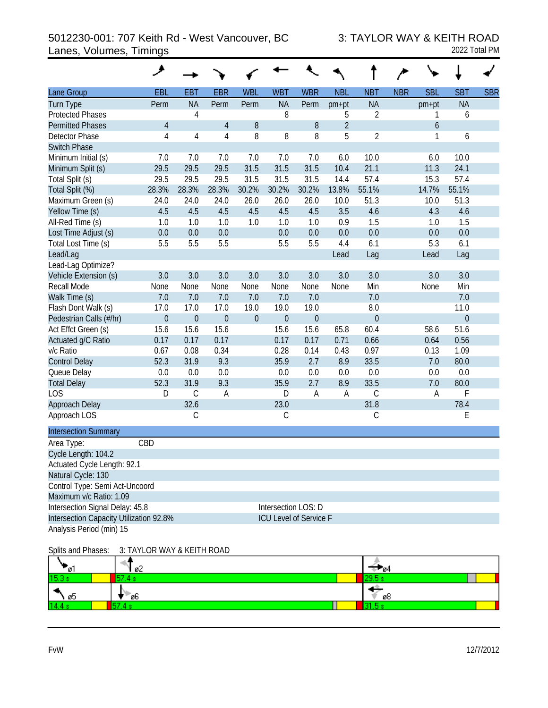# 5012230-001: 707 Keith Rd - West Vancouver, BC 3: TAYLOR WAY & KEITH ROAD Lanes, Volumes, Timings 2022 Total PM

|                                         | حر                         |                  |            |                  |            |                        |                |                  |            |            |                  |            |
|-----------------------------------------|----------------------------|------------------|------------|------------------|------------|------------------------|----------------|------------------|------------|------------|------------------|------------|
| Lane Group                              | EBL                        | <b>EBT</b>       | <b>EBR</b> | <b>WBL</b>       | <b>WBT</b> | <b>WBR</b>             | <b>NBL</b>     | <b>NBT</b>       | <b>NBR</b> | <b>SBL</b> | <b>SBT</b>       | <b>SBR</b> |
| <b>Turn Type</b>                        | Perm                       | <b>NA</b>        | Perm       | Perm             | <b>NA</b>  | Perm                   | pm+pt          | <b>NA</b>        |            | pm+pt      | <b>NA</b>        |            |
| <b>Protected Phases</b>                 |                            | 4                |            |                  | 8          |                        | 5              | 2                |            | 1          | 6                |            |
| <b>Permitted Phases</b>                 | 4                          |                  | 4          | $8\,$            |            | $8\,$                  | $\overline{2}$ |                  |            | 6          |                  |            |
| Detector Phase                          | 4                          | 4                | 4          | 8                | 8          | 8                      | 5              | $\overline{2}$   |            | 1          | 6                |            |
| <b>Switch Phase</b>                     |                            |                  |            |                  |            |                        |                |                  |            |            |                  |            |
| Minimum Initial (s)                     | 7.0                        | 7.0              | 7.0        | 7.0              | 7.0        | 7.0                    | 6.0            | 10.0             |            | 6.0        | 10.0             |            |
| Minimum Split (s)                       | 29.5                       | 29.5             | 29.5       | 31.5             | 31.5       | 31.5                   | 10.4           | 21.1             |            | 11.3       | 24.1             |            |
| Total Split (s)                         | 29.5                       | 29.5             | 29.5       | 31.5             | 31.5       | 31.5                   | 14.4           | 57.4             |            | 15.3       | 57.4             |            |
| Total Split (%)                         | 28.3%                      | 28.3%            | 28.3%      | 30.2%            | 30.2%      | 30.2%                  | 13.8%          | 55.1%            |            | 14.7%      | 55.1%            |            |
| Maximum Green (s)                       | 24.0                       | 24.0             | 24.0       | 26.0             | 26.0       | 26.0                   | 10.0           | 51.3             |            | 10.0       | 51.3             |            |
| Yellow Time (s)                         | 4.5                        | 4.5              | 4.5        | 4.5              | 4.5        | 4.5                    | 3.5            | 4.6              |            | 4.3        | 4.6              |            |
| All-Red Time (s)                        | 1.0                        | 1.0              | 1.0        | 1.0              | 1.0        | 1.0                    | 0.9            | 1.5              |            | 1.0        | 1.5              |            |
| Lost Time Adjust (s)                    | 0.0                        | 0.0              | 0.0        |                  | 0.0        | 0.0                    | 0.0            | 0.0              |            | 0.0        | 0.0              |            |
| Total Lost Time (s)                     | 5.5                        | 5.5              | 5.5        |                  | 5.5        | 5.5                    | 4.4            | 6.1              |            | 5.3        | 6.1              |            |
| Lead/Lag                                |                            |                  |            |                  |            |                        | Lead           | Lag              |            | Lead       | Lag              |            |
| Lead-Lag Optimize?                      |                            |                  |            |                  |            |                        |                |                  |            |            |                  |            |
| Vehicle Extension (s)                   | 3.0                        | 3.0              | 3.0        | 3.0              | 3.0        | 3.0                    | 3.0            | 3.0              |            | 3.0        | 3.0              |            |
| Recall Mode                             | None                       | None             | None       | None             | None       | None                   | None           | Min              |            | None       | Min              |            |
| Walk Time (s)                           | 7.0                        | 7.0              | 7.0        | 7.0              | 7.0        | 7.0                    |                | 7.0              |            |            | 7.0              |            |
| Flash Dont Walk (s)                     | 17.0                       | 17.0             | 17.0       | 19.0             | 19.0       | 19.0                   |                | 8.0              |            |            | 11.0             |            |
| Pedestrian Calls (#/hr)                 | $\theta$                   | $\boldsymbol{0}$ | $\theta$   | $\boldsymbol{0}$ | $\theta$   | $\theta$               |                | $\boldsymbol{0}$ |            |            | $\boldsymbol{0}$ |            |
| Act Effct Green (s)                     | 15.6                       | 15.6             | 15.6       |                  | 15.6       | 15.6                   | 65.8           | 60.4             |            | 58.6       | 51.6             |            |
| Actuated g/C Ratio                      | 0.17                       | 0.17             | 0.17       |                  | 0.17       | 0.17                   | 0.71           | 0.66             |            | 0.64       | 0.56             |            |
| v/c Ratio                               | 0.67                       | 0.08             | 0.34       |                  | 0.28       | 0.14                   | 0.43           | 0.97             |            | 0.13       | 1.09             |            |
| <b>Control Delay</b>                    | 52.3                       | 31.9             | 9.3        |                  | 35.9       | 2.7                    | 8.9            | 33.5             |            | 7.0        | 80.0             |            |
| Queue Delay                             | 0.0                        | 0.0              | 0.0        |                  | 0.0        | 0.0                    | 0.0            | 0.0              |            | 0.0        | 0.0              |            |
| <b>Total Delay</b>                      | 52.3                       | 31.9             | 9.3        |                  | 35.9       | 2.7                    | 8.9            | 33.5             |            | 7.0        | 80.0             |            |
| <b>LOS</b>                              | D                          | $\mathcal{C}$    | A          |                  | D          | A                      | A              | C                |            | А          | F                |            |
| Approach Delay                          |                            | 32.6             |            |                  | 23.0       |                        |                | 31.8             |            |            | 78.4             |            |
| Approach LOS                            |                            | C                |            |                  | С          |                        |                | С                |            |            | Ε                |            |
| <b>Intersection Summary</b>             |                            |                  |            |                  |            |                        |                |                  |            |            |                  |            |
| Area Type:                              | CBD                        |                  |            |                  |            |                        |                |                  |            |            |                  |            |
| Cycle Length: 104.2                     |                            |                  |            |                  |            |                        |                |                  |            |            |                  |            |
| Actuated Cycle Length: 92.1             |                            |                  |            |                  |            |                        |                |                  |            |            |                  |            |
| Natural Cycle: 130                      |                            |                  |            |                  |            |                        |                |                  |            |            |                  |            |
| Control Type: Semi Act-Uncoord          |                            |                  |            |                  |            |                        |                |                  |            |            |                  |            |
| Maximum v/c Ratio: 1.09                 |                            |                  |            |                  |            |                        |                |                  |            |            |                  |            |
| Intersection Signal Delay: 45.8         |                            |                  |            |                  |            | Intersection LOS: D    |                |                  |            |            |                  |            |
| Intersection Capacity Utilization 92.8% |                            |                  |            |                  |            | ICU Level of Service F |                |                  |            |            |                  |            |
| Analysis Period (min) 15                |                            |                  |            |                  |            |                        |                |                  |            |            |                  |            |
| Splits and Phases:                      | 3: TAYLOR WAY & KEITH ROAD |                  |            |                  |            |                        |                |                  |            |            |                  |            |

| ø      | -<br>øZ | ⊕ o4 |
|--------|---------|------|
| 15.3 s |         | ---  |
| 1 OO F | "ø6     | ø8   |
| 14.4   |         |      |